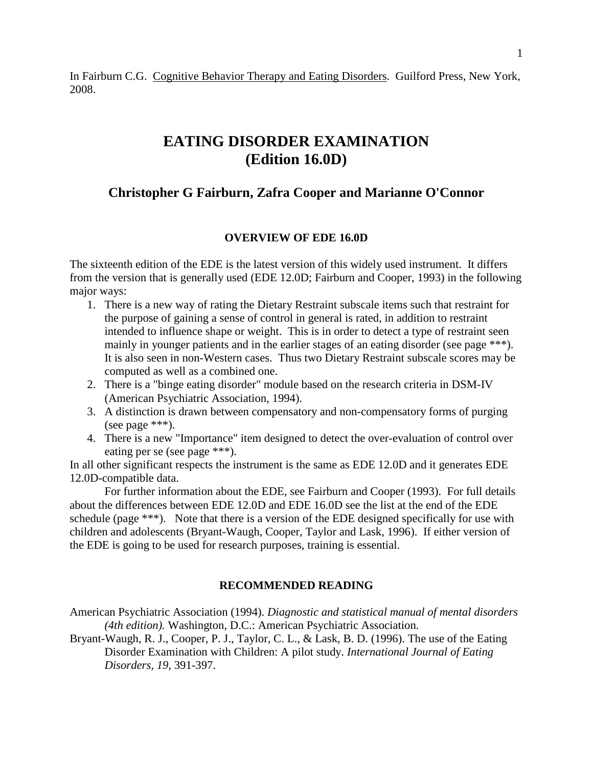In Fairburn C.G. Cognitive Behavior Therapy and Eating Disorders. Guilford Press, New York, 2008.

# **EATING DISORDER EXAMINATION (Edition 16.0D)**

# **Christopher G Fairburn, Zafra Cooper and Marianne O'Connor**

#### **OVERVIEW OF EDE 16.0D**

The sixteenth edition of the EDE is the latest version of this widely used instrument. It differs from the version that is generally used (EDE 12.0D; Fairburn and Cooper, 1993) in the following major ways:

- 1. There is a new way of rating the Dietary Restraint subscale items such that restraint for the purpose of gaining a sense of control in general is rated, in addition to restraint intended to influence shape or weight. This is in order to detect a type of restraint seen mainly in younger patients and in the earlier stages of an eating disorder (see page \*\*\*). It is also seen in non-Western cases. Thus two Dietary Restraint subscale scores may be computed as well as a combined one.
- 2. There is a "binge eating disorder" module based on the research criteria in DSM-IV (American Psychiatric Association, 1994).
- 3. A distinction is drawn between compensatory and non-compensatory forms of purging (see page \*\*\*).
- 4. There is a new "Importance" item designed to detect the over-evaluation of control over eating per se (see page \*\*\*).

In all other significant respects the instrument is the same as EDE 12.0D and it generates EDE 12.0D-compatible data.

For further information about the EDE, see Fairburn and Cooper (1993). For full details about the differences between EDE 12.0D and EDE 16.0D see the list at the end of the EDE schedule (page \*\*\*). Note that there is a version of the EDE designed specifically for use with children and adolescents (Bryant-Waugh, Cooper, Taylor and Lask, 1996). If either version of the EDE is going to be used for research purposes, training is essential.

#### **RECOMMENDED READING**

American Psychiatric Association (1994). *Diagnostic and statistical manual of mental disorders (4th edition).* Washington, D.C.: American Psychiatric Association.

Bryant-Waugh, R. J., Cooper, P. J., Taylor, C. L., & Lask, B. D. (1996). The use of the Eating Disorder Examination with Children: A pilot study. *International Journal of Eating Disorders, 19*, 391-397.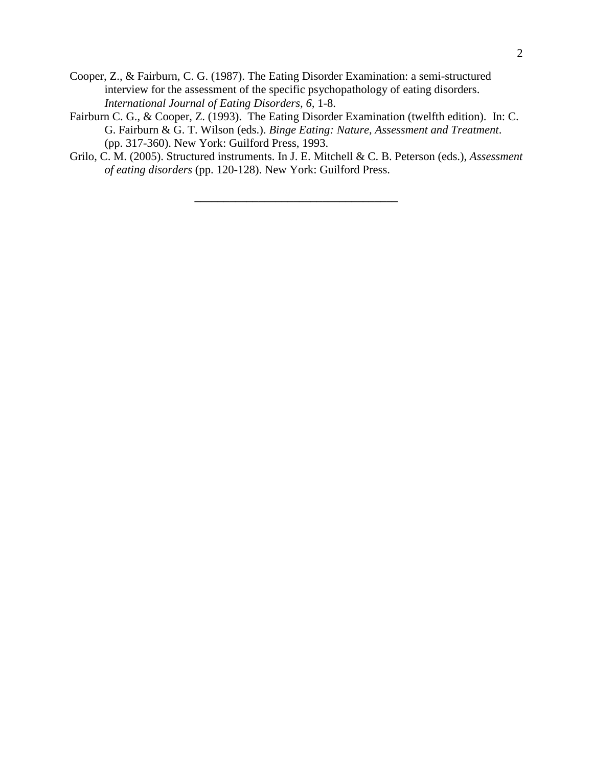- Cooper, Z., & Fairburn, C. G. (1987). The Eating Disorder Examination: a semi-structured interview for the assessment of the specific psychopathology of eating disorders. *International Journal of Eating Disorders, 6,* 1-8.
- Fairburn C. G., & Cooper, Z. (1993). The Eating Disorder Examination (twelfth edition). In: C. G. Fairburn & G. T. Wilson (eds.). *Binge Eating: Nature, Assessment and Treatment*. (pp. 317-360). New York: Guilford Press, 1993.
- Grilo, C. M. (2005). Structured instruments. In J. E. Mitchell & C. B. Peterson (eds.), *Assessment of eating disorders* (pp. 120-128). New York: Guilford Press.

**\_\_\_\_\_\_\_\_\_\_\_\_\_\_\_\_\_\_\_\_\_\_\_\_\_\_\_\_\_\_\_\_\_\_\_**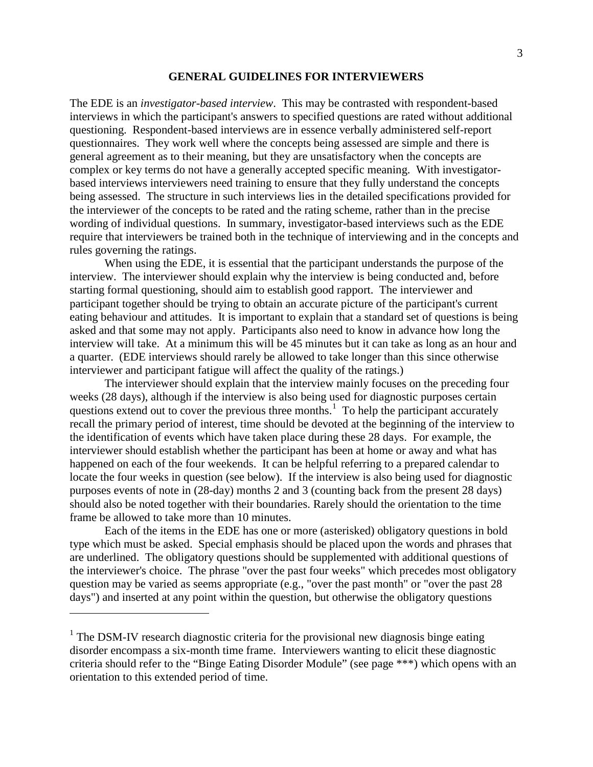#### **GENERAL GUIDELINES FOR INTERVIEWERS**

The EDE is an *investigator-based interview*. This may be contrasted with respondent-based interviews in which the participant's answers to specified questions are rated without additional questioning. Respondent-based interviews are in essence verbally administered self-report questionnaires. They work well where the concepts being assessed are simple and there is general agreement as to their meaning, but they are unsatisfactory when the concepts are complex or key terms do not have a generally accepted specific meaning. With investigatorbased interviews interviewers need training to ensure that they fully understand the concepts being assessed. The structure in such interviews lies in the detailed specifications provided for the interviewer of the concepts to be rated and the rating scheme, rather than in the precise wording of individual questions. In summary, investigator-based interviews such as the EDE require that interviewers be trained both in the technique of interviewing and in the concepts and rules governing the ratings.

When using the EDE, it is essential that the participant understands the purpose of the interview. The interviewer should explain why the interview is being conducted and, before starting formal questioning, should aim to establish good rapport. The interviewer and participant together should be trying to obtain an accurate picture of the participant's current eating behaviour and attitudes. It is important to explain that a standard set of questions is being asked and that some may not apply. Participants also need to know in advance how long the interview will take. At a minimum this will be 45 minutes but it can take as long as an hour and a quarter. (EDE interviews should rarely be allowed to take longer than this since otherwise interviewer and participant fatigue will affect the quality of the ratings.)

The interviewer should explain that the interview mainly focuses on the preceding four weeks (28 days), although if the interview is also being used for diagnostic purposes certain questions extend out to cover the previous three months.<sup>[1](#page-2-0)</sup> To help the participant accurately recall the primary period of interest, time should be devoted at the beginning of the interview to the identification of events which have taken place during these 28 days. For example, the interviewer should establish whether the participant has been at home or away and what has happened on each of the four weekends. It can be helpful referring to a prepared calendar to locate the four weeks in question (see below). If the interview is also being used for diagnostic purposes events of note in (28-day) months 2 and 3 (counting back from the present 28 days) should also be noted together with their boundaries. Rarely should the orientation to the time frame be allowed to take more than 10 minutes.

Each of the items in the EDE has one or more (asterisked) obligatory questions in bold type which must be asked. Special emphasis should be placed upon the words and phrases that are underlined. The obligatory questions should be supplemented with additional questions of the interviewer's choice. The phrase "over the past four weeks" which precedes most obligatory question may be varied as seems appropriate (e.g., "over the past month" or "over the past 28 days") and inserted at any point within the question, but otherwise the obligatory questions

-

<span id="page-2-0"></span> $1$  The DSM-IV research diagnostic criteria for the provisional new diagnosis binge eating disorder encompass a six-month time frame. Interviewers wanting to elicit these diagnostic criteria should refer to the "Binge Eating Disorder Module" (see page \*\*\*) which opens with an orientation to this extended period of time.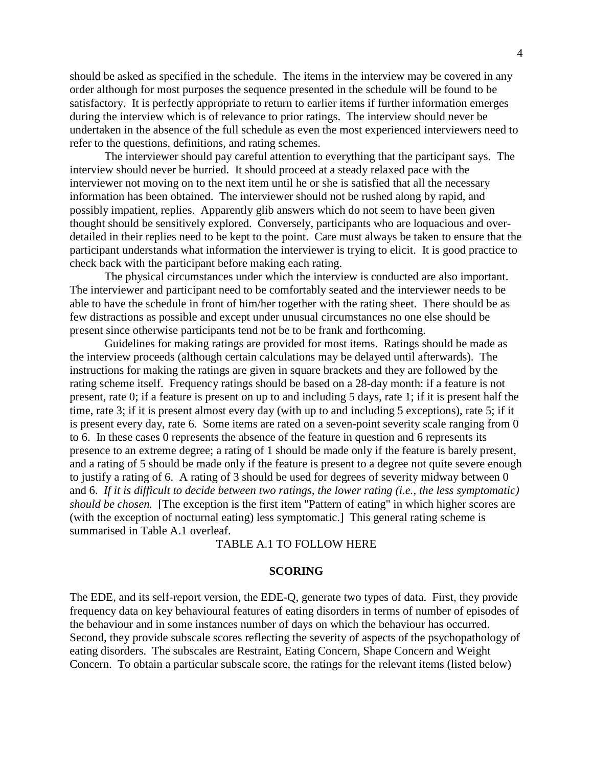should be asked as specified in the schedule. The items in the interview may be covered in any order although for most purposes the sequence presented in the schedule will be found to be satisfactory. It is perfectly appropriate to return to earlier items if further information emerges during the interview which is of relevance to prior ratings. The interview should never be undertaken in the absence of the full schedule as even the most experienced interviewers need to refer to the questions, definitions, and rating schemes.

The interviewer should pay careful attention to everything that the participant says. The interview should never be hurried. It should proceed at a steady relaxed pace with the interviewer not moving on to the next item until he or she is satisfied that all the necessary information has been obtained. The interviewer should not be rushed along by rapid, and possibly impatient, replies. Apparently glib answers which do not seem to have been given thought should be sensitively explored. Conversely, participants who are loquacious and overdetailed in their replies need to be kept to the point. Care must always be taken to ensure that the participant understands what information the interviewer is trying to elicit. It is good practice to check back with the participant before making each rating.

The physical circumstances under which the interview is conducted are also important. The interviewer and participant need to be comfortably seated and the interviewer needs to be able to have the schedule in front of him/her together with the rating sheet. There should be as few distractions as possible and except under unusual circumstances no one else should be present since otherwise participants tend not be to be frank and forthcoming.

Guidelines for making ratings are provided for most items. Ratings should be made as the interview proceeds (although certain calculations may be delayed until afterwards). The instructions for making the ratings are given in square brackets and they are followed by the rating scheme itself. Frequency ratings should be based on a 28-day month: if a feature is not present, rate 0; if a feature is present on up to and including 5 days, rate 1; if it is present half the time, rate 3; if it is present almost every day (with up to and including 5 exceptions), rate 5; if it is present every day, rate 6. Some items are rated on a seven-point severity scale ranging from 0 to 6. In these cases 0 represents the absence of the feature in question and 6 represents its presence to an extreme degree; a rating of 1 should be made only if the feature is barely present, and a rating of 5 should be made only if the feature is present to a degree not quite severe enough to justify a rating of 6. A rating of 3 should be used for degrees of severity midway between 0 and 6. *If it is difficult to decide between two ratings, the lower rating (i.e., the less symptomatic) should be chosen.* [The exception is the first item "Pattern of eating" in which higher scores are (with the exception of nocturnal eating) less symptomatic.] This general rating scheme is summarised in Table A.1 overleaf.

#### TABLE A.1 TO FOLLOW HERE

#### **SCORING**

The EDE, and its self-report version, the EDE-Q, generate two types of data. First, they provide frequency data on key behavioural features of eating disorders in terms of number of episodes of the behaviour and in some instances number of days on which the behaviour has occurred. Second, they provide subscale scores reflecting the severity of aspects of the psychopathology of eating disorders. The subscales are Restraint, Eating Concern, Shape Concern and Weight Concern. To obtain a particular subscale score, the ratings for the relevant items (listed below)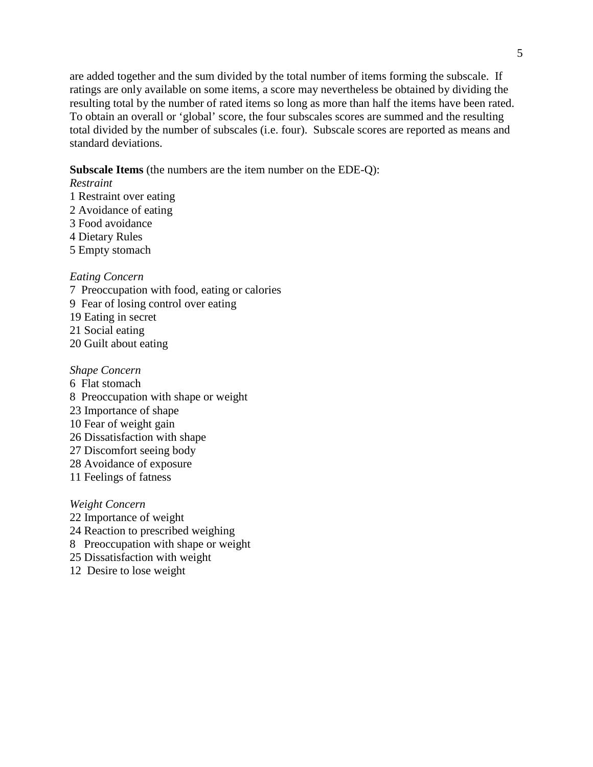are added together and the sum divided by the total number of items forming the subscale. If ratings are only available on some items, a score may nevertheless be obtained by dividing the resulting total by the number of rated items so long as more than half the items have been rated. To obtain an overall or 'global' score, the four subscales scores are summed and the resulting total divided by the number of subscales (i.e. four). Subscale scores are reported as means and standard deviations.

#### **Subscale Items** (the numbers are the item number on the EDE-Q):

#### *Restraint*

- 1 Restraint over eating
- 2 Avoidance of eating
- 3 Food avoidance
- 4 Dietary Rules
- 5 Empty stomach

#### *Eating Concern*

7 Preoccupation with food, eating or calories 9 Fear of losing control over eating 19 Eating in secret 21 Social eating 20 Guilt about eating

#### *Shape Concern*

6 Flat stomach 8 Preoccupation with shape or weight 23 Importance of shape 10 Fear of weight gain 26 Dissatisfaction with shape 27 Discomfort seeing body 28 Avoidance of exposure 11 Feelings of fatness

#### *Weight Concern*

- 22 Importance of weight
- 24 Reaction to prescribed weighing
- 8 Preoccupation with shape or weight
- 25 Dissatisfaction with weight
- 12 Desire to lose weight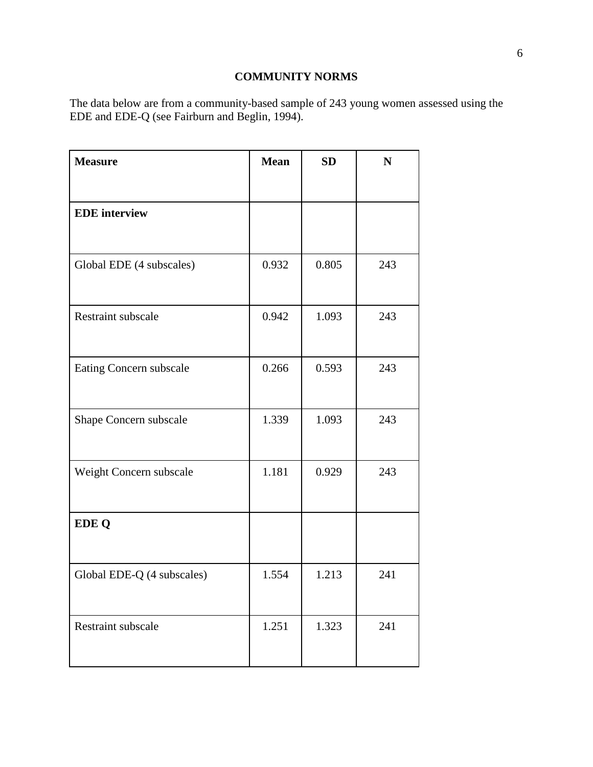# **COMMUNITY NORMS**

The data below are from a community-based sample of 243 young women assessed using the EDE and EDE-Q (see Fairburn and Beglin, 1994).

| <b>Measure</b>             | <b>Mean</b> | <b>SD</b> | N   |
|----------------------------|-------------|-----------|-----|
| <b>EDE</b> interview       |             |           |     |
| Global EDE (4 subscales)   | 0.932       | 0.805     | 243 |
| Restraint subscale         | 0.942       | 1.093     | 243 |
| Eating Concern subscale    | 0.266       | 0.593     | 243 |
| Shape Concern subscale     | 1.339       | 1.093     | 243 |
| Weight Concern subscale    | 1.181       | 0.929     | 243 |
| <b>EDE Q</b>               |             |           |     |
| Global EDE-Q (4 subscales) | 1.554       | 1.213     | 241 |
| Restraint subscale         | 1.251       | 1.323     | 241 |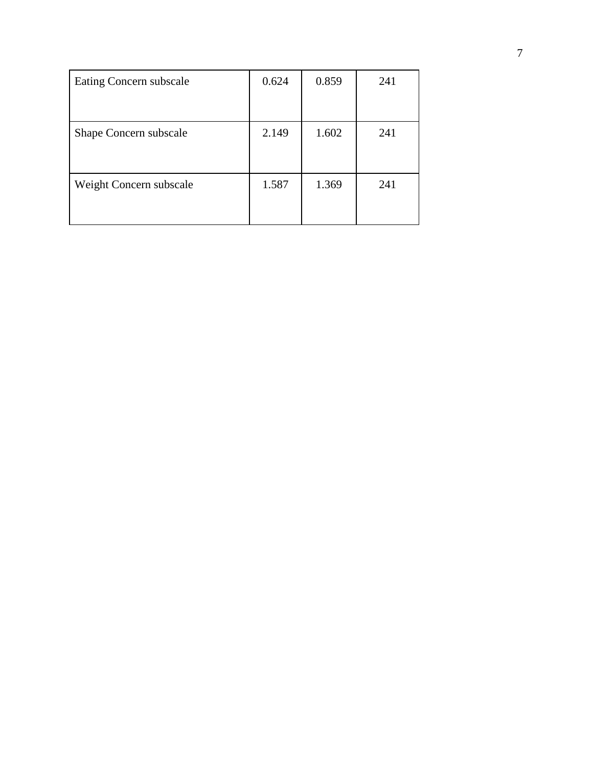| Eating Concern subscale | 0.624 | 0.859 | 241 |
|-------------------------|-------|-------|-----|
| Shape Concern subscale  | 2.149 | 1.602 | 241 |
| Weight Concern subscale | 1.587 | 1.369 | 241 |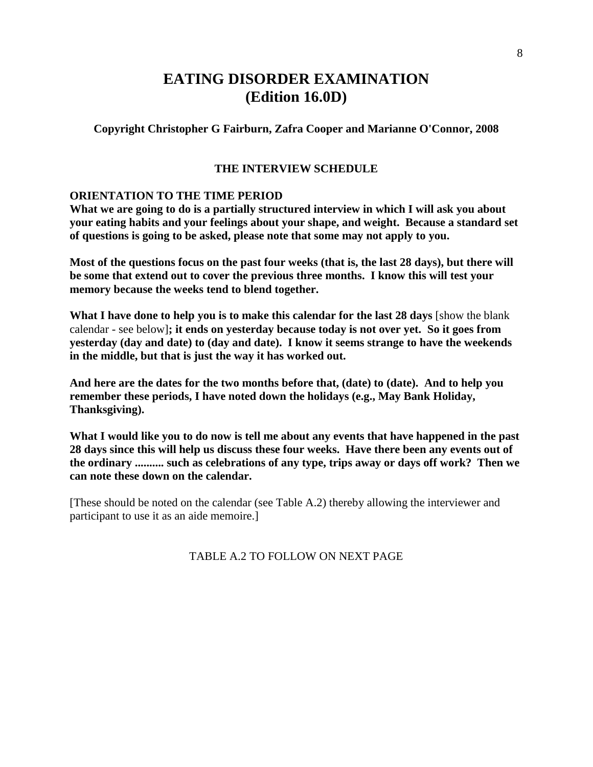# **EATING DISORDER EXAMINATION (Edition 16.0D)**

**Copyright Christopher G Fairburn, Zafra Cooper and Marianne O'Connor, 2008**

#### **THE INTERVIEW SCHEDULE**

#### **ORIENTATION TO THE TIME PERIOD**

**What we are going to do is a partially structured interview in which I will ask you about your eating habits and your feelings about your shape, and weight. Because a standard set of questions is going to be asked, please note that some may not apply to you.** 

**Most of the questions focus on the past four weeks (that is, the last 28 days), but there will be some that extend out to cover the previous three months. I know this will test your memory because the weeks tend to blend together.** 

**What I have done to help you is to make this calendar for the last 28 days** [show the blank calendar - see below]**; it ends on yesterday because today is not over yet. So it goes from yesterday (day and date) to (day and date). I know it seems strange to have the weekends in the middle, but that is just the way it has worked out.** 

**And here are the dates for the two months before that, (date) to (date). And to help you remember these periods, I have noted down the holidays (e.g., May Bank Holiday, Thanksgiving).** 

**What I would like you to do now is tell me about any events that have happened in the past 28 days since this will help us discuss these four weeks. Have there been any events out of the ordinary .......... such as celebrations of any type, trips away or days off work? Then we can note these down on the calendar.**

[These should be noted on the calendar (see Table A.2) thereby allowing the interviewer and participant to use it as an aide memoire.]

#### TABLE A.2 TO FOLLOW ON NEXT PAGE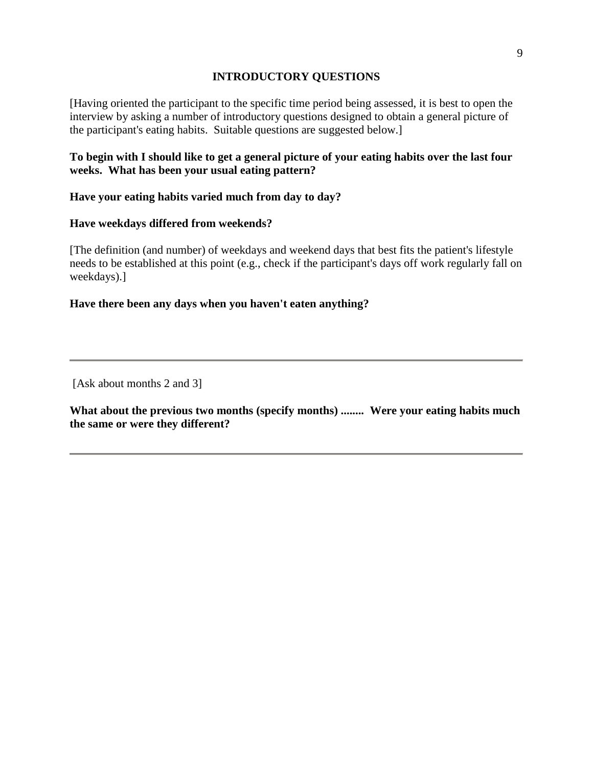#### **INTRODUCTORY QUESTIONS**

[Having oriented the participant to the specific time period being assessed, it is best to open the interview by asking a number of introductory questions designed to obtain a general picture of the participant's eating habits. Suitable questions are suggested below.]

# **To begin with I should like to get a general picture of your eating habits over the last four weeks. What has been your usual eating pattern?**

#### **Have your eating habits varied much from day to day?**

#### **Have weekdays differed from weekends?**

[The definition (and number) of weekdays and weekend days that best fits the patient's lifestyle needs to be established at this point (e.g., check if the participant's days off work regularly fall on weekdays).]

## **Have there been any days when you haven't eaten anything?**

[Ask about months 2 and 3]

What about the previous two months (specify months) ........ Were your eating habits much **the same or were they different?**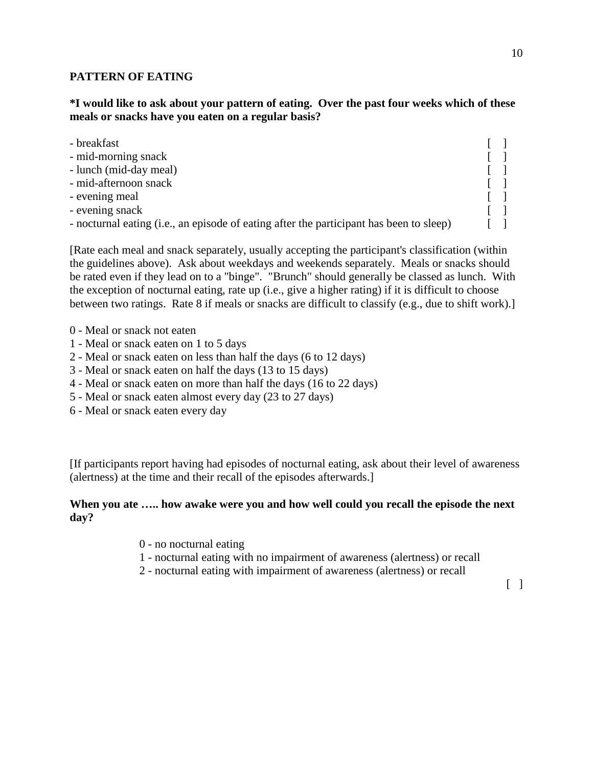### **PATTERN OF EATING**

**\*I would like to ask about your pattern of eating. Over the past four weeks which of these meals or snacks have you eaten on a regular basis?**

| - breakfast                                                                             |  |
|-----------------------------------------------------------------------------------------|--|
| - mid-morning snack                                                                     |  |
| - lunch (mid-day meal)                                                                  |  |
| - mid-afternoon snack                                                                   |  |
| - evening meal                                                                          |  |
| - evening snack                                                                         |  |
| - nocturnal eating (i.e., an episode of eating after the participant has been to sleep) |  |

[Rate each meal and snack separately, usually accepting the participant's classification (within the guidelines above). Ask about weekdays and weekends separately. Meals or snacks should be rated even if they lead on to a "binge". "Brunch" should generally be classed as lunch. With the exception of nocturnal eating, rate up (i.e., give a higher rating) if it is difficult to choose between two ratings. Rate 8 if meals or snacks are difficult to classify (e.g., due to shift work).]

- 0 Meal or snack not eaten
- 1 Meal or snack eaten on 1 to 5 days
- 2 Meal or snack eaten on less than half the days (6 to 12 days)
- 3 Meal or snack eaten on half the days (13 to 15 days)
- 4 Meal or snack eaten on more than half the days (16 to 22 days)
- 5 Meal or snack eaten almost every day (23 to 27 days)
- 6 Meal or snack eaten every day

[If participants report having had episodes of nocturnal eating, ask about their level of awareness (alertness) at the time and their recall of the episodes afterwards.]

#### **When you ate ….. how awake were you and how well could you recall the episode the next day?**

- 0 no nocturnal eating
- 1 nocturnal eating with no impairment of awareness (alertness) or recall
- 2 nocturnal eating with impairment of awareness (alertness) or recall

 $\lceil \rceil$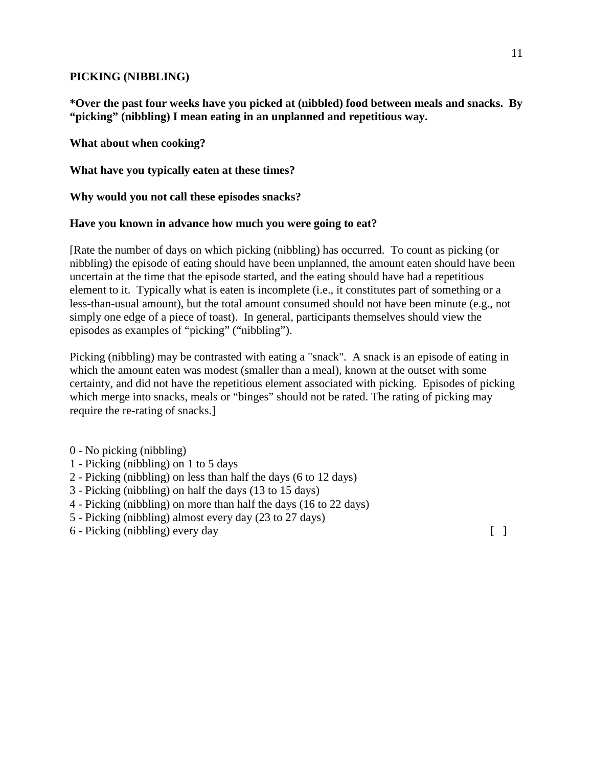#### **PICKING (NIBBLING)**

**\*Over the past four weeks have you picked at (nibbled) food between meals and snacks. By "picking" (nibbling) I mean eating in an unplanned and repetitious way.**

**What about when cooking?**

**What have you typically eaten at these times?**

**Why would you not call these episodes snacks?**

#### **Have you known in advance how much you were going to eat?**

[Rate the number of days on which picking (nibbling) has occurred. To count as picking (or nibbling) the episode of eating should have been unplanned, the amount eaten should have been uncertain at the time that the episode started, and the eating should have had a repetitious element to it. Typically what is eaten is incomplete (i.e., it constitutes part of something or a less-than-usual amount), but the total amount consumed should not have been minute (e.g., not simply one edge of a piece of toast). In general, participants themselves should view the episodes as examples of "picking" ("nibbling").

Picking (nibbling) may be contrasted with eating a "snack". A snack is an episode of eating in which the amount eaten was modest (smaller than a meal), known at the outset with some certainty, and did not have the repetitious element associated with picking. Episodes of picking which merge into snacks, meals or "binges" should not be rated. The rating of picking may require the re-rating of snacks.]

- 0 No picking (nibbling)
- 1 Picking (nibbling) on 1 to 5 days
- 2 Picking (nibbling) on less than half the days (6 to 12 days)
- 3 Picking (nibbling) on half the days (13 to 15 days)
- 4 Picking (nibbling) on more than half the days (16 to 22 days)
- 5 Picking (nibbling) almost every day (23 to 27 days)
- 6 Picking (nibbling) every day [ ]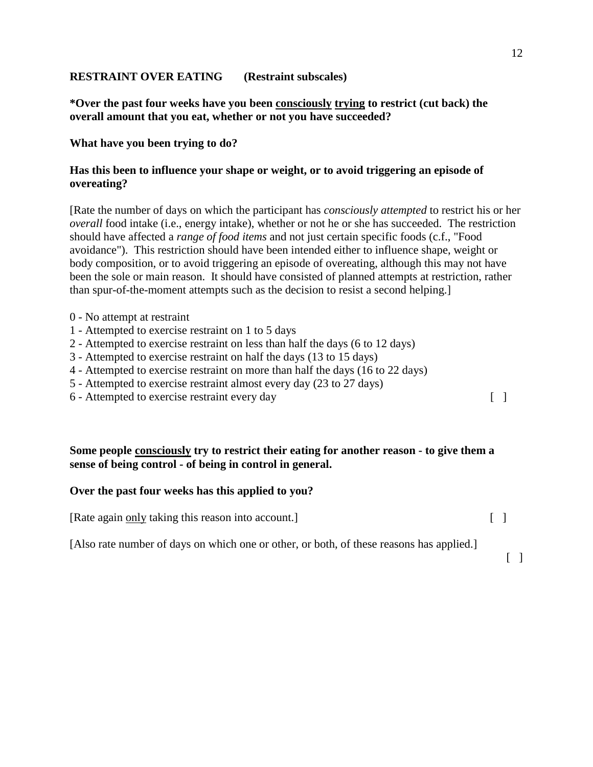#### **RESTRAINT OVER EATING (Restraint subscales)**

**\*Over the past four weeks have you been consciously trying to restrict (cut back) the overall amount that you eat, whether or not you have succeeded?**

#### **What have you been trying to do?**

## **Has this been to influence your shape or weight, or to avoid triggering an episode of overeating?**

[Rate the number of days on which the participant has *consciously attempted* to restrict his or her *overall* food intake (i.e., energy intake), whether or not he or she has succeeded. The restriction should have affected a *range of food items* and not just certain specific foods (c.f., "Food avoidance"). This restriction should have been intended either to influence shape, weight or body composition, or to avoid triggering an episode of overeating, although this may not have been the sole or main reason. It should have consisted of planned attempts at restriction, rather than spur-of-the-moment attempts such as the decision to resist a second helping.]

- 0 No attempt at restraint
- 1 Attempted to exercise restraint on 1 to 5 days
- 2 Attempted to exercise restraint on less than half the days (6 to 12 days)
- 3 Attempted to exercise restraint on half the days (13 to 15 days)
- 4 Attempted to exercise restraint on more than half the days (16 to 22 days)
- 5 Attempted to exercise restraint almost every day (23 to 27 days)
- 6 Attempted to exercise restraint every day [ ]

## **Some people consciously try to restrict their eating for another reason - to give them a sense of being control - of being in control in general.**

#### **Over the past four weeks has this applied to you?**

[Rate again only taking this reason into account.] [ ]

[Also rate number of days on which one or other, or both, of these reasons has applied.]

 $\lceil$   $\rceil$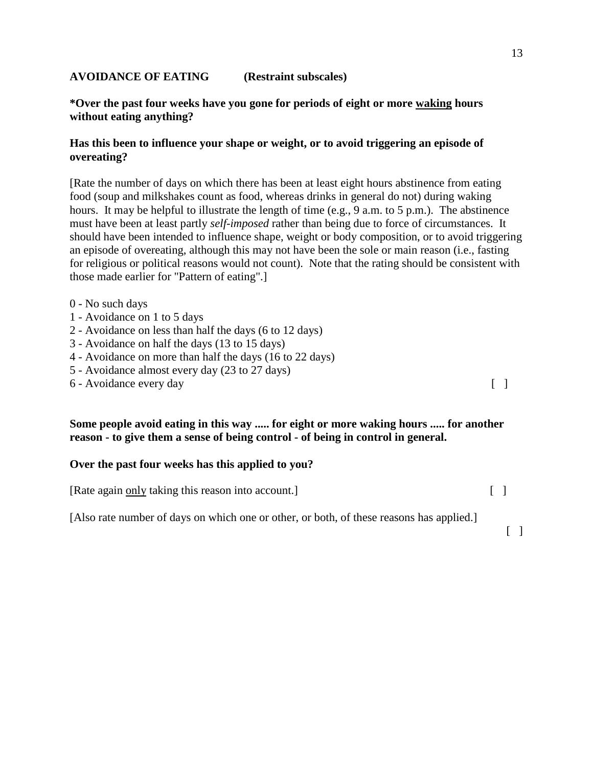#### **AVOIDANCE OF EATING (Restraint subscales)**

#### **\*Over the past four weeks have you gone for periods of eight or more waking hours without eating anything?**

#### **Has this been to influence your shape or weight, or to avoid triggering an episode of overeating?**

[Rate the number of days on which there has been at least eight hours abstinence from eating food (soup and milkshakes count as food, whereas drinks in general do not) during waking hours. It may be helpful to illustrate the length of time (e.g., 9 a.m. to 5 p.m.). The abstinence must have been at least partly *self-imposed* rather than being due to force of circumstances. It should have been intended to influence shape, weight or body composition, or to avoid triggering an episode of overeating, although this may not have been the sole or main reason (i.e., fasting for religious or political reasons would not count). Note that the rating should be consistent with those made earlier for "Pattern of eating".]

- 0 No such days
- 1 Avoidance on 1 to 5 days
- 2 Avoidance on less than half the days (6 to 12 days)
- 3 Avoidance on half the days (13 to 15 days)
- 4 Avoidance on more than half the days (16 to 22 days)
- 5 Avoidance almost every day (23 to 27 days)
- 6 Avoidance every day [ ]

#### **Some people avoid eating in this way ..... for eight or more waking hours ..... for another reason - to give them a sense of being control - of being in control in general.**

#### **Over the past four weeks has this applied to you?**

[Rate again only taking this reason into account.] [ ]

[Also rate number of days on which one or other, or both, of these reasons has applied.]

[ ]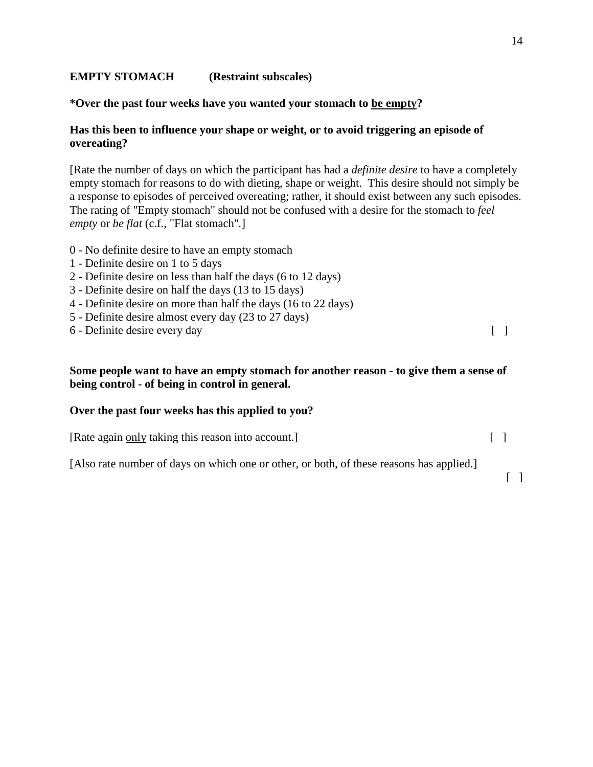# **EMPTY STOMACH (Restraint subscales)**

#### **\*Over the past four weeks have you wanted your stomach to be empty?**

#### **Has this been to influence your shape or weight, or to avoid triggering an episode of overeating?**

[Rate the number of days on which the participant has had a *definite desire* to have a completely empty stomach for reasons to do with dieting, shape or weight. This desire should not simply be a response to episodes of perceived overeating; rather, it should exist between any such episodes. The rating of "Empty stomach" should not be confused with a desire for the stomach to *feel empty* or *be flat* (c.f., "Flat stomach"*.*]

- 0 No definite desire to have an empty stomach
- 1 Definite desire on 1 to 5 days
- 2 Definite desire on less than half the days (6 to 12 days)
- 3 Definite desire on half the days (13 to 15 days)
- 4 Definite desire on more than half the days (16 to 22 days)
- 5 Definite desire almost every day (23 to 27 days)
- 6 Definite desire every day [ ]

#### **Some people want to have an empty stomach for another reason - to give them a sense of being control - of being in control in general.**

#### **Over the past four weeks has this applied to you?**

[Rate again only taking this reason into account.] [ ]

[Also rate number of days on which one or other, or both, of these reasons has applied.]

 $\lceil \rceil$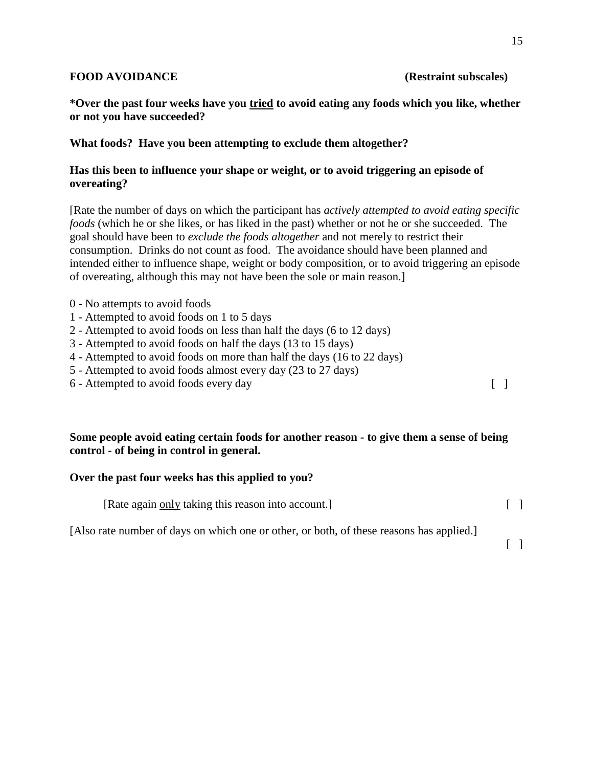#### **FOOD AVOIDANCE (Restraint subscales)**

**\*Over the past four weeks have you tried to avoid eating any foods which you like, whether or not you have succeeded?**

#### **What foods? Have you been attempting to exclude them altogether?**

#### **Has this been to influence your shape or weight, or to avoid triggering an episode of overeating?**

[Rate the number of days on which the participant has *actively attempted to avoid eating specific foods* (which he or she likes, or has liked in the past) whether or not he or she succeeded. The goal should have been to *exclude the foods altogether* and not merely to restrict their consumption. Drinks do not count as food. The avoidance should have been planned and intended either to influence shape, weight or body composition, or to avoid triggering an episode of overeating, although this may not have been the sole or main reason.]

- 0 No attempts to avoid foods
- 1 Attempted to avoid foods on 1 to 5 days
- 2 Attempted to avoid foods on less than half the days (6 to 12 days)
- 3 Attempted to avoid foods on half the days (13 to 15 days)
- 4 Attempted to avoid foods on more than half the days (16 to 22 days)
- 5 Attempted to avoid foods almost every day (23 to 27 days)
- 6 Attempted to avoid foods every day [ ]

# **Some people avoid eating certain foods for another reason - to give them a sense of being control - of being in control in general.**

#### **Over the past four weeks has this applied to you?**

| [Rate again only taking this reason into account.] |  |
|----------------------------------------------------|--|
|                                                    |  |

[Also rate number of days on which one or other, or both, of these reasons has applied.]

 $\lceil$   $\rceil$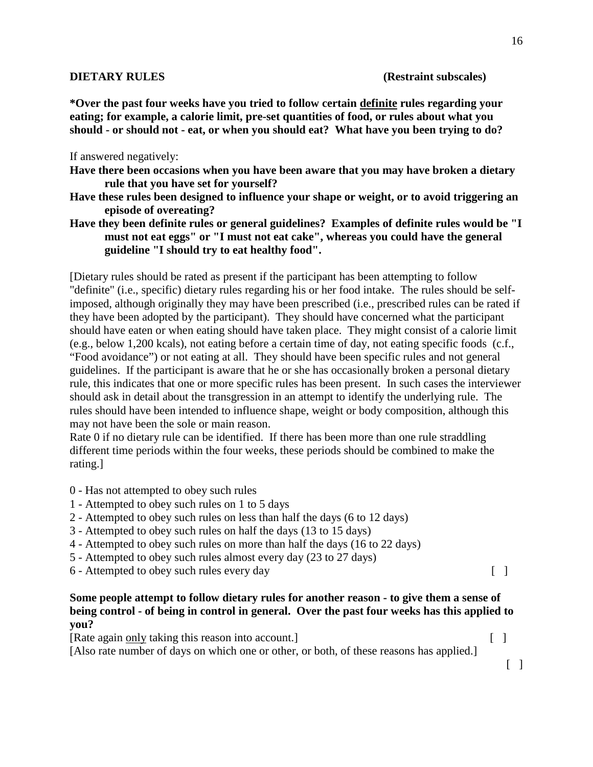**\*Over the past four weeks have you tried to follow certain definite rules regarding your eating; for example, a calorie limit, pre-set quantities of food, or rules about what you should - or should not - eat, or when you should eat? What have you been trying to do?**

#### If answered negatively:

- **Have there been occasions when you have been aware that you may have broken a dietary rule that you have set for yourself?**
- **Have these rules been designed to influence your shape or weight, or to avoid triggering an episode of overeating?**
- **Have they been definite rules or general guidelines? Examples of definite rules would be "I must not eat eggs" or "I must not eat cake", whereas you could have the general guideline "I should try to eat healthy food".**

[Dietary rules should be rated as present if the participant has been attempting to follow "definite" (i.e., specific) dietary rules regarding his or her food intake. The rules should be selfimposed, although originally they may have been prescribed (i.e., prescribed rules can be rated if they have been adopted by the participant). They should have concerned what the participant should have eaten or when eating should have taken place. They might consist of a calorie limit (e.g., below 1,200 kcals), not eating before a certain time of day, not eating specific foods (c.f., "Food avoidance") or not eating at all. They should have been specific rules and not general guidelines. If the participant is aware that he or she has occasionally broken a personal dietary rule, this indicates that one or more specific rules has been present. In such cases the interviewer should ask in detail about the transgression in an attempt to identify the underlying rule. The rules should have been intended to influence shape, weight or body composition, although this may not have been the sole or main reason.

Rate 0 if no dietary rule can be identified. If there has been more than one rule straddling different time periods within the four weeks, these periods should be combined to make the rating.]

- 0 Has not attempted to obey such rules
- 1 Attempted to obey such rules on 1 to 5 days
- 2 Attempted to obey such rules on less than half the days (6 to 12 days)
- 3 Attempted to obey such rules on half the days (13 to 15 days)
- 4 Attempted to obey such rules on more than half the days (16 to 22 days)
- 5 Attempted to obey such rules almost every day (23 to 27 days)
- 6 Attempted to obey such rules every day [ ]

## **Some people attempt to follow dietary rules for another reason - to give them a sense of being control - of being in control in general. Over the past four weeks has this applied to you?**

[Rate again only taking this reason into account.] [ ] [Also rate number of days on which one or other, or both, of these reasons has applied.]

 $\begin{bmatrix} 1 \end{bmatrix}$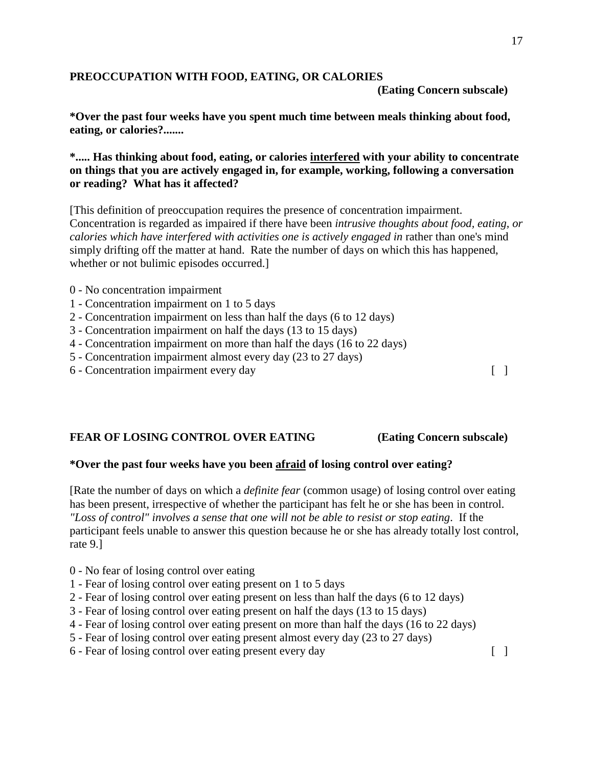#### **PREOCCUPATION WITH FOOD, EATING, OR CALORIES**

**(Eating Concern subscale)**

**\*Over the past four weeks have you spent much time between meals thinking about food, eating, or calories?.......**

## **\*..... Has thinking about food, eating, or calories interfered with your ability to concentrate on things that you are actively engaged in, for example, working, following a conversation or reading? What has it affected?**

[This definition of preoccupation requires the presence of concentration impairment. Concentration is regarded as impaired if there have been *intrusive thoughts about food, eating, or calories which have interfered with activities one is actively engaged in rather than one's mind* simply drifting off the matter at hand. Rate the number of days on which this has happened, whether or not bulimic episodes occurred.

- 0 No concentration impairment
- 1 Concentration impairment on 1 to 5 days
- 2 Concentration impairment on less than half the days (6 to 12 days)
- 3 Concentration impairment on half the days (13 to 15 days)
- 4 Concentration impairment on more than half the days (16 to 22 days)
- 5 Concentration impairment almost every day (23 to 27 days)
- 6 Concentration impairment every day [ ]

**FEAR OF LOSING CONTROL OVER EATING (Eating Concern subscale)**

#### **\*Over the past four weeks have you been afraid of losing control over eating?**

[Rate the number of days on which a *definite fear* (common usage) of losing control over eating has been present, irrespective of whether the participant has felt he or she has been in control. *"Loss of control" involves a sense that one will not be able to resist or stop eating*. If the participant feels unable to answer this question because he or she has already totally lost control, rate 9.]

- 0 No fear of losing control over eating
- 1 Fear of losing control over eating present on 1 to 5 days
- 2 Fear of losing control over eating present on less than half the days (6 to 12 days)
- 3 Fear of losing control over eating present on half the days (13 to 15 days)
- 4 Fear of losing control over eating present on more than half the days (16 to 22 days)
- 5 Fear of losing control over eating present almost every day (23 to 27 days)
- 6 Fear of losing control over eating present every day [ ]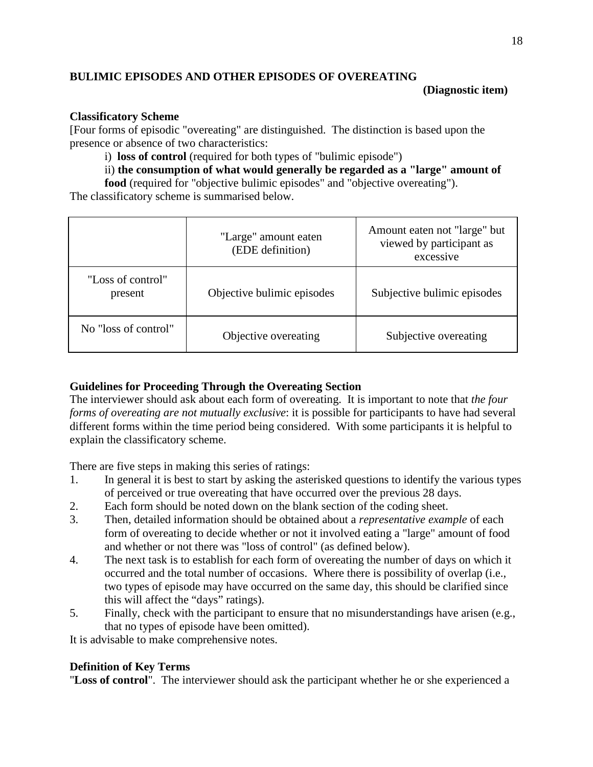# **BULIMIC EPISODES AND OTHER EPISODES OF OVEREATING**

**(Diagnostic item)**

## **Classificatory Scheme**

[Four forms of episodic "overeating" are distinguished. The distinction is based upon the presence or absence of two characteristics:

i) **loss of control** (required for both types of "bulimic episode")

ii) **the consumption of what would generally be regarded as a "large" amount of** 

**food** (required for "objective bulimic episodes" and "objective overeating").

The classificatory scheme is summarised below.

|                              | "Large" amount eaten<br>(EDE definition) | Amount eaten not "large" but<br>viewed by participant as<br>excessive |
|------------------------------|------------------------------------------|-----------------------------------------------------------------------|
| "Loss of control"<br>present | Objective bulimic episodes               | Subjective bulimic episodes                                           |
| No "loss of control"         | Objective overeating                     | Subjective overeating                                                 |

# **Guidelines for Proceeding Through the Overeating Section**

The interviewer should ask about each form of overeating. It is important to note that *the four forms of overeating are not mutually exclusive*: it is possible for participants to have had several different forms within the time period being considered. With some participants it is helpful to explain the classificatory scheme.

There are five steps in making this series of ratings:

- 1. In general it is best to start by asking the asterisked questions to identify the various types of perceived or true overeating that have occurred over the previous 28 days.
- 2. Each form should be noted down on the blank section of the coding sheet.
- 3. Then, detailed information should be obtained about a *representative example* of each form of overeating to decide whether or not it involved eating a "large" amount of food and whether or not there was "loss of control" (as defined below).
- 4. The next task is to establish for each form of overeating the number of days on which it occurred and the total number of occasions. Where there is possibility of overlap (i.e., two types of episode may have occurred on the same day, this should be clarified since this will affect the "days" ratings).
- 5. Finally, check with the participant to ensure that no misunderstandings have arisen (e.g., that no types of episode have been omitted).

It is advisable to make comprehensive notes.

# **Definition of Key Terms**

"**Loss of control**". The interviewer should ask the participant whether he or she experienced a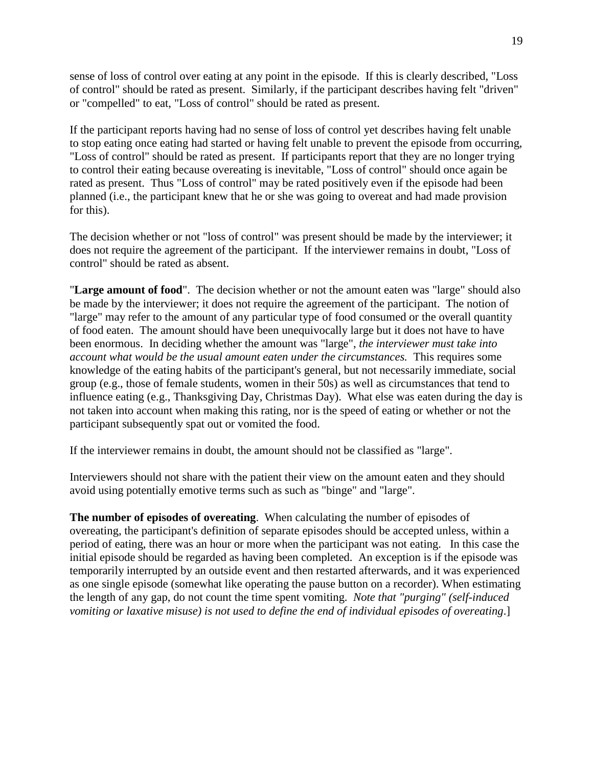sense of loss of control over eating at any point in the episode. If this is clearly described, "Loss of control" should be rated as present. Similarly, if the participant describes having felt "driven" or "compelled" to eat, "Loss of control" should be rated as present.

If the participant reports having had no sense of loss of control yet describes having felt unable to stop eating once eating had started or having felt unable to prevent the episode from occurring, "Loss of control" should be rated as present. If participants report that they are no longer trying to control their eating because overeating is inevitable, "Loss of control" should once again be rated as present. Thus "Loss of control" may be rated positively even if the episode had been planned (i.e., the participant knew that he or she was going to overeat and had made provision for this).

The decision whether or not "loss of control" was present should be made by the interviewer; it does not require the agreement of the participant. If the interviewer remains in doubt, "Loss of control" should be rated as absent.

"**Large amount of food**". The decision whether or not the amount eaten was "large" should also be made by the interviewer; it does not require the agreement of the participant. The notion of "large" may refer to the amount of any particular type of food consumed or the overall quantity of food eaten. The amount should have been unequivocally large but it does not have to have been enormous. In deciding whether the amount was "large", *the interviewer must take into account what would be the usual amount eaten under the circumstances.* This requires some knowledge of the eating habits of the participant's general, but not necessarily immediate, social group (e.g., those of female students, women in their 50s) as well as circumstances that tend to influence eating (e.g., Thanksgiving Day, Christmas Day). What else was eaten during the day is not taken into account when making this rating, nor is the speed of eating or whether or not the participant subsequently spat out or vomited the food.

If the interviewer remains in doubt, the amount should not be classified as "large".

Interviewers should not share with the patient their view on the amount eaten and they should avoid using potentially emotive terms such as such as "binge" and "large".

**The number of episodes of overeating**. When calculating the number of episodes of overeating, the participant's definition of separate episodes should be accepted unless, within a period of eating, there was an hour or more when the participant was not eating. In this case the initial episode should be regarded as having been completed. An exception is if the episode was temporarily interrupted by an outside event and then restarted afterwards, and it was experienced as one single episode (somewhat like operating the pause button on a recorder). When estimating the length of any gap, do not count the time spent vomiting. *Note that "purging" (self-induced vomiting or laxative misuse) is not used to define the end of individual episodes of overeating*.]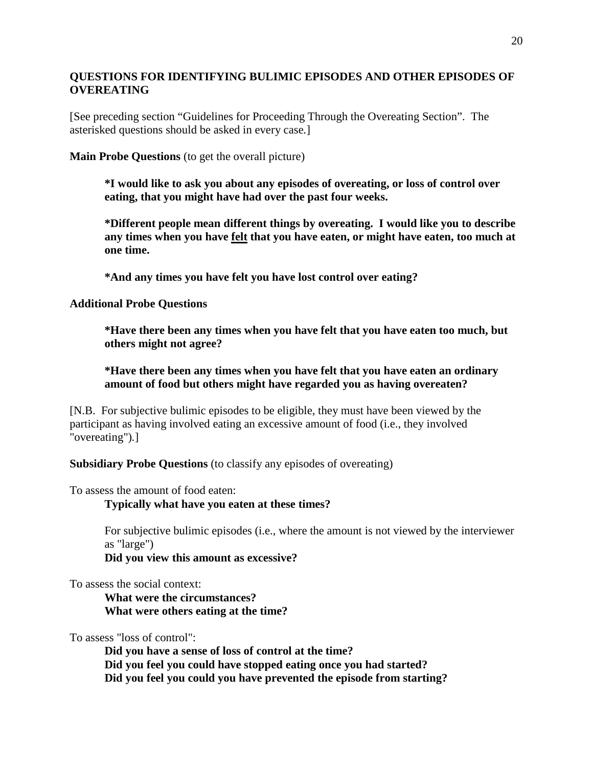# **QUESTIONS FOR IDENTIFYING BULIMIC EPISODES AND OTHER EPISODES OF OVEREATING**

[See preceding section "Guidelines for Proceeding Through the Overeating Section". The asterisked questions should be asked in every case*.*]

**Main Probe Questions** (to get the overall picture)

**\*I would like to ask you about any episodes of overeating, or loss of control over eating, that you might have had over the past four weeks.**

**\*Different people mean different things by overeating. I would like you to describe any times when you have felt that you have eaten, or might have eaten, too much at one time.**

**\*And any times you have felt you have lost control over eating?**

**Additional Probe Questions**

**\*Have there been any times when you have felt that you have eaten too much, but others might not agree?**

**\*Have there been any times when you have felt that you have eaten an ordinary amount of food but others might have regarded you as having overeaten?**

[N.B. For subjective bulimic episodes to be eligible, they must have been viewed by the participant as having involved eating an excessive amount of food (i.e., they involved "overeating")*.*]

**Subsidiary Probe Questions** (to classify any episodes of overeating)

To assess the amount of food eaten:

**Typically what have you eaten at these times?**

For subjective bulimic episodes (i.e., where the amount is not viewed by the interviewer as "large")

**Did you view this amount as excessive?**

To assess the social context:

**What were the circumstances? What were others eating at the time?**

To assess "loss of control":

**Did you have a sense of loss of control at the time? Did you feel you could have stopped eating once you had started? Did you feel you could you have prevented the episode from starting?**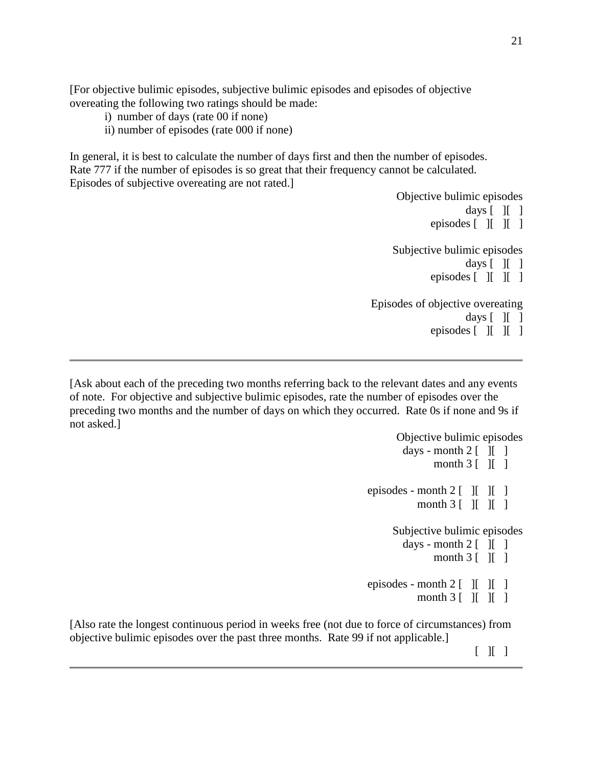[For objective bulimic episodes, subjective bulimic episodes and episodes of objective overeating the following two ratings should be made:

- i) number of days (rate 00 if none)
- ii) number of episodes (rate 000 if none)

In general, it is best to calculate the number of days first and then the number of episodes. Rate 777 if the number of episodes is so great that their frequency cannot be calculated. Episodes of subjective overeating are not rated.]

> Objective bulimic episodes days  $[ \ ] [ \ ]$ episodes  $[$   $\parallel$   $\parallel$   $\parallel$   $]$ Subjective bulimic episodes days  $\lceil \rceil$   $\lceil \rceil$ episodes [ ][ ][ ] Episodes of objective overeating days  $[ \ ] [ \ ]$ episodes [ ][ ][ ]

[Ask about each of the preceding two months referring back to the relevant dates and any events of note. For objective and subjective bulimic episodes, rate the number of episodes over the preceding two months and the number of days on which they occurred. Rate 0s if none and 9s if not asked.]

Objective bulimic episodes

- days month  $2 \lceil \rceil$   $\lceil \rceil$ 
	- month 3 [ ][ ]
- episodes month  $2$   $\begin{bmatrix} 1 \\ 1 \end{bmatrix}$ 
	- month  $3$  [ ][ ][ ]

Subjective bulimic episodes

- days month  $2 \begin{bmatrix} 1 \\ 1 \end{bmatrix}$ 
	- month  $3 \lceil \lceil \lceil \lceil \rceil \rceil$
- episodes month  $2$   $\begin{bmatrix} 1 \\ 1 \end{bmatrix}$ 
	- month  $3$  [ ][ ][ ]

[Also rate the longest continuous period in weeks free (not due to force of circumstances) from objective bulimic episodes over the past three months. Rate 99 if not applicable.]

 $[$   $]$   $]$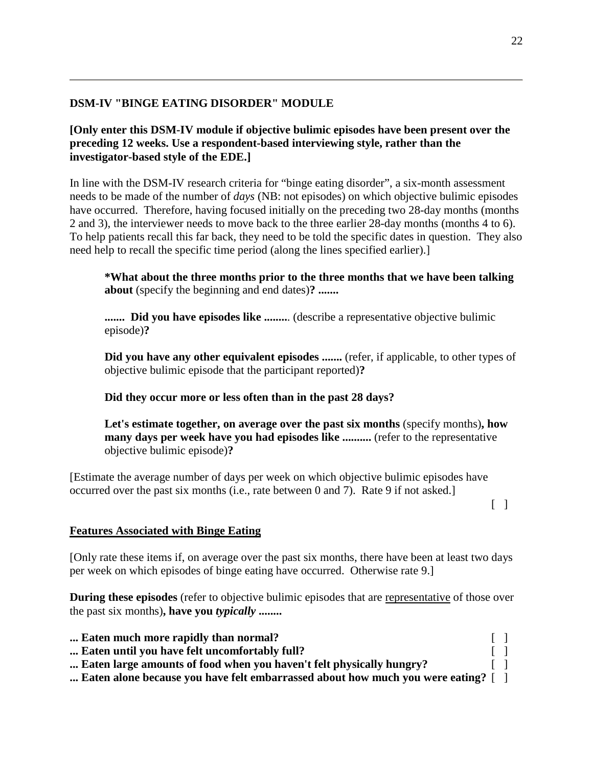# **DSM-IV "BINGE EATING DISORDER" MODULE**

**[Only enter this DSM-IV module if objective bulimic episodes have been present over the preceding 12 weeks. Use a respondent-based interviewing style, rather than the investigator-based style of the EDE.]**

In line with the DSM-IV research criteria for "binge eating disorder", a six-month assessment needs to be made of the number of *days* (NB: not episodes) on which objective bulimic episodes have occurred. Therefore, having focused initially on the preceding two 28-day months (months 2 and 3), the interviewer needs to move back to the three earlier 28-day months (months 4 to 6). To help patients recall this far back, they need to be told the specific dates in question. They also need help to recall the specific time period (along the lines specified earlier).]

**\*What about the three months prior to the three months that we have been talking about** (specify the beginning and end dates)**? .......** 

**....... Did you have episodes like ........**. (describe a representative objective bulimic episode)**?** 

**Did you have any other equivalent episodes .......** (refer, if applicable, to other types of objective bulimic episode that the participant reported)**?**

**Did they occur more or less often than in the past 28 days?**

Let's estimate together, on average over the past six months (specify months), how **many days per week have you had episodes like ..........** (refer to the representative objective bulimic episode)**?** 

[Estimate the average number of days per week on which objective bulimic episodes have occurred over the past six months (i.e., rate between 0 and 7). Rate 9 if not asked.]

 $\lceil \rceil$ 

# **Features Associated with Binge Eating**

[Only rate these items if, on average over the past six months, there have been at least two days per week on which episodes of binge eating have occurred. Otherwise rate 9.]

**During these episodes** (refer to objective bulimic episodes that are representative of those over the past six months)**, have you** *typically* **........**

| Eaten much more rapidly than normal?                                                               |  |
|----------------------------------------------------------------------------------------------------|--|
| Eaten until you have felt uncomfortably full?                                                      |  |
| Eaten large amounts of food when you haven't felt physically hungry?                               |  |
| Eaten alone because you have felt embarrassed about how much you were eating? $\lceil \;\; \rceil$ |  |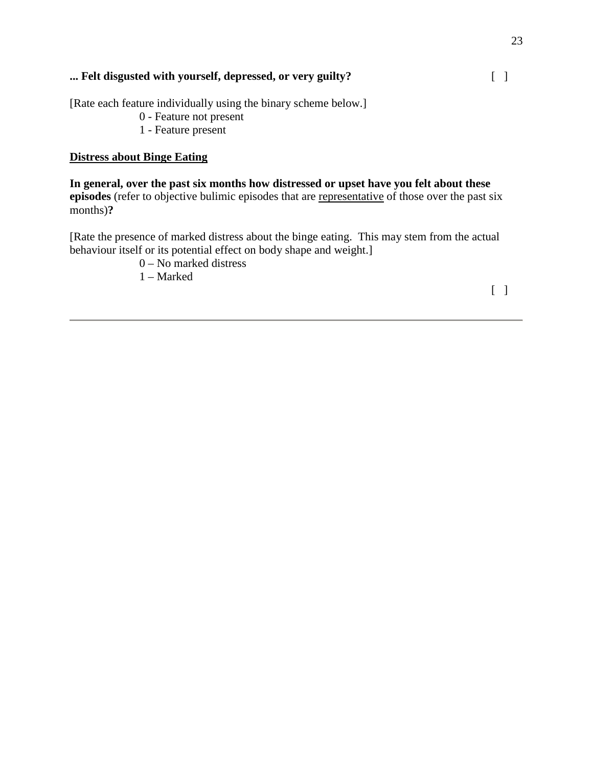# **... Felt disgusted with yourself, depressed, or very guilty?** [ ]

[Rate each feature individually using the binary scheme below.]

- 0 Feature not present
- 1 Feature present

# **Distress about Binge Eating**

**In general, over the past six months how distressed or upset have you felt about these episodes** (refer to objective bulimic episodes that are representative of those over the past six months)**?**

[Rate the presence of marked distress about the binge eating. This may stem from the actual behaviour itself or its potential effect on body shape and weight.]

 $0 - No$  marked distress

1 – Marked

 $\lceil \; \rceil$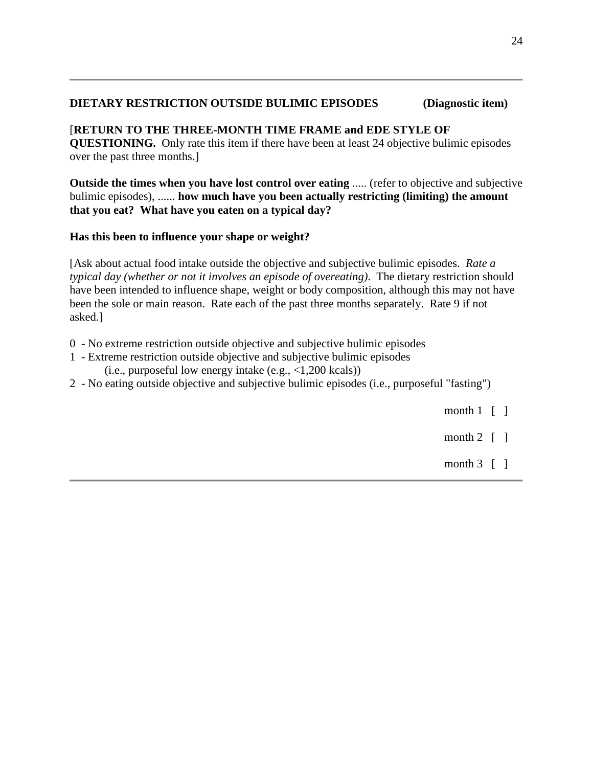# **DIETARY RESTRICTION OUTSIDE BULIMIC EPISODES (Diagnostic item)**

## [**RETURN TO THE THREE-MONTH TIME FRAME and EDE STYLE OF**

**QUESTIONING.** Only rate this item if there have been at least 24 objective bulimic episodes over the past three months.]

**Outside the times when you have lost control over eating** ..... (refer to objective and subjective bulimic episodes), ...... **how much have you been actually restricting (limiting) the amount that you eat? What have you eaten on a typical day?**

#### **Has this been to influence your shape or weight?**

[Ask about actual food intake outside the objective and subjective bulimic episodes. *Rate a typical day (whether or not it involves an episode of overeating)*. The dietary restriction should have been intended to influence shape, weight or body composition, although this may not have been the sole or main reason. Rate each of the past three months separately. Rate 9 if not asked.]

- 0 No extreme restriction outside objective and subjective bulimic episodes
- 1 Extreme restriction outside objective and subjective bulimic episodes (i.e., purposeful low energy intake  $(e.g., <1,200$  kcals))
- 2 No eating outside objective and subjective bulimic episodes (i.e., purposeful "fasting")
	- month  $1 \mid$
	- month  $2 \mid$
	- month 3 [ ]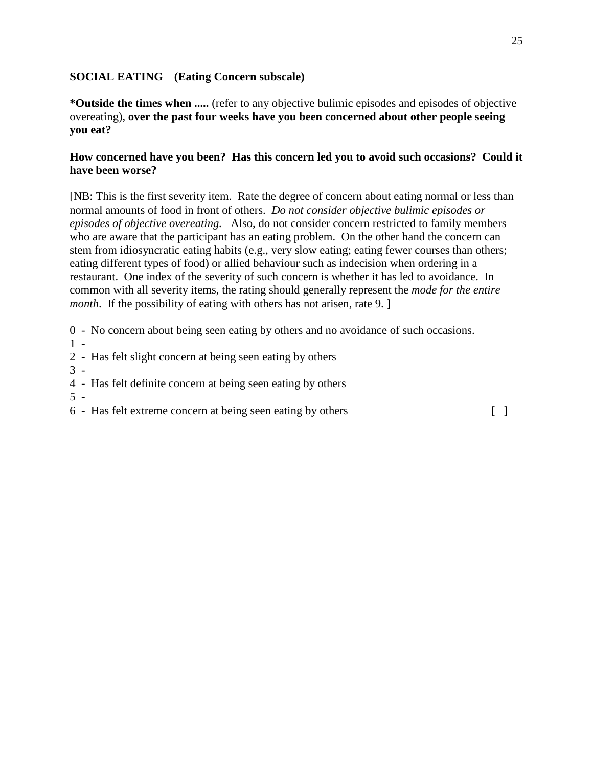# **SOCIAL EATING (Eating Concern subscale)**

**\*Outside the times when .....** (refer to any objective bulimic episodes and episodes of objective overeating), **over the past four weeks have you been concerned about other people seeing you eat?**

## **How concerned have you been? Has this concern led you to avoid such occasions? Could it have been worse?**

[NB: This is the first severity item. Rate the degree of concern about eating normal or less than normal amounts of food in front of others. *Do not consider objective bulimic episodes or episodes of objective overeating.* Also, do not consider concern restricted to family members who are aware that the participant has an eating problem. On the other hand the concern can stem from idiosyncratic eating habits (e.g., very slow eating; eating fewer courses than others; eating different types of food) or allied behaviour such as indecision when ordering in a restaurant. One index of the severity of such concern is whether it has led to avoidance. In common with all severity items, the rating should generally represent the *mode for the entire month*. If the possibility of eating with others has not arisen, rate 9. ]

0 - No concern about being seen eating by others and no avoidance of such occasions.

1 -

2 - Has felt slight concern at being seen eating by others

3 -

4 - Has felt definite concern at being seen eating by others

5 -

6 - Has felt extreme concern at being seen eating by others [ ]

25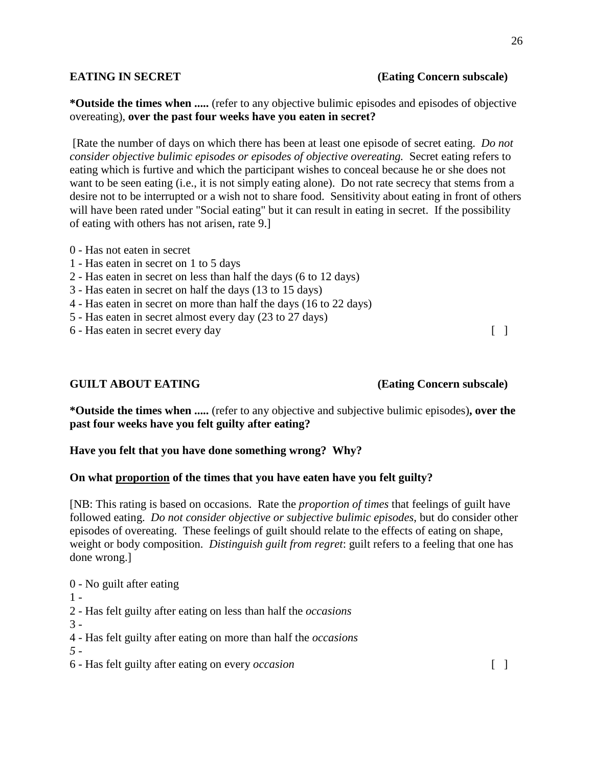### **EATING IN SECRET (Eating Concern subscale)**

**\*Outside the times when .....** (refer to any objective bulimic episodes and episodes of objective overeating), **over the past four weeks have you eaten in secret?**

[Rate the number of days on which there has been at least one episode of secret eating. *Do not consider objective bulimic episodes or episodes of objective overeating.* Secret eating refers to eating which is furtive and which the participant wishes to conceal because he or she does not want to be seen eating (i.e., it is not simply eating alone). Do not rate secrecy that stems from a desire not to be interrupted or a wish not to share food. Sensitivity about eating in front of others will have been rated under "Social eating" but it can result in eating in secret. If the possibility of eating with others has not arisen, rate 9.]

- 0 Has not eaten in secret
- 1 Has eaten in secret on 1 to 5 days
- 2 Has eaten in secret on less than half the days (6 to 12 days)
- 3 Has eaten in secret on half the days (13 to 15 days)
- 4 Has eaten in secret on more than half the days (16 to 22 days)
- 5 Has eaten in secret almost every day (23 to 27 days)
- 6 Has eaten in secret every day [ ]

**\*Outside the times when .....** (refer to any objective and subjective bulimic episodes)**, over the past four weeks have you felt guilty after eating?** 

#### **Have you felt that you have done something wrong? Why?**

#### **On what proportion of the times that you have eaten have you felt guilty?**

[NB: This rating is based on occasions. Rate the *proportion of times* that feelings of guilt have followed eating. *Do not consider objective or subjective bulimic episodes*, but do consider other episodes of overeating. These feelings of guilt should relate to the effects of eating on shape, weight or body composition. *Distinguish guilt from regret*: guilt refers to a feeling that one has done wrong.]

- 0 No guilt after eating
- $1 -$
- 2 Has felt guilty after eating on less than half the *occasions*
- 3 -
- 4 Has felt guilty after eating on more than half the *occasions*
- *5 -*
- 6 Has felt guilty after eating on every *occasion* [ ]

# **GUILT ABOUT EATING (Eating Concern subscale)**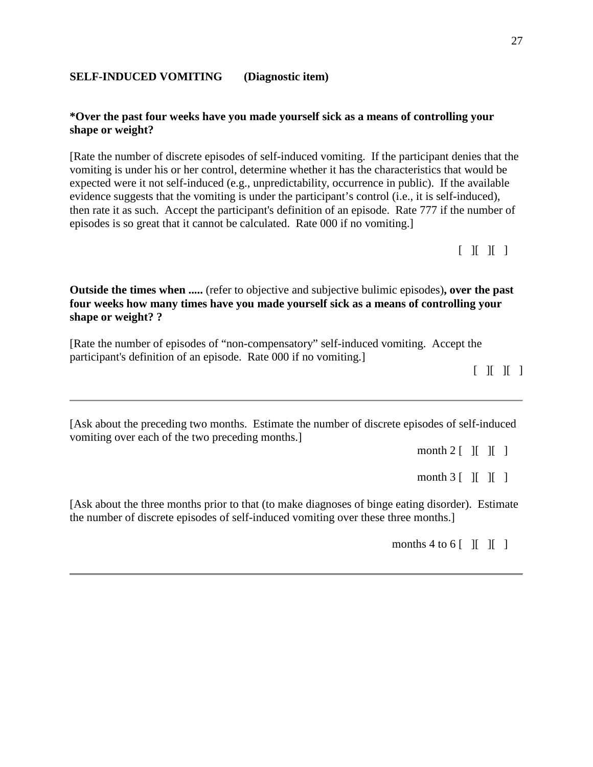#### **\*Over the past four weeks have you made yourself sick as a means of controlling your shape or weight?**

[Rate the number of discrete episodes of self-induced vomiting. If the participant denies that the vomiting is under his or her control, determine whether it has the characteristics that would be expected were it not self-induced (e.g., unpredictability, occurrence in public). If the available evidence suggests that the vomiting is under the participant's control (i.e., it is self-induced), then rate it as such. Accept the participant's definition of an episode. Rate 777 if the number of episodes is so great that it cannot be calculated. Rate 000 if no vomiting.]

 $[ \quad ] [ \quad ] [ \quad ]$ 

**Outside the times when .....** (refer to objective and subjective bulimic episodes)**, over the past four weeks how many times have you made yourself sick as a means of controlling your shape or weight? ?** 

[Rate the number of episodes of "non-compensatory" self-induced vomiting. Accept the participant's definition of an episode. Rate 000 if no vomiting.]

[Ask about the preceding two months. Estimate the number of discrete episodes of self-induced vomiting over each of the two preceding months.]

month  $2$  [  $\parallel$   $\parallel$   $\parallel$ 

month  $3$  [ ][ ][ ]

[Ask about the three months prior to that (to make diagnoses of binge eating disorder). Estimate the number of discrete episodes of self-induced vomiting over these three months.]

months 4 to 6  $\begin{bmatrix} \begin{bmatrix} \end{bmatrix} \end{bmatrix}$ 

 $[$   $]$  $[$   $]$  $[$  $]$  $[$  $]$  $[$  $]$  $[$  $]$  $[$  $]$  $[$  $]$  $[$  $]$  $[$  $]$  $[$  $]$  $[$  $]$  $[$  $]$  $[$  $]$  $[$  $]$  $[$  $]$  $[$  $]$  $[$  $]$  $[$  $]$  $[$  $]$  $[$  $]$  $[$  $]$  $[$  $]$  $[$  $]$  $[$  $]$  $[$  $]$  $[$  $]$  $[$  $]$  $[$  $]$  $[$  $]$  $[$  $]$  $[$  $]$  $[$  $]$  $[$  $]$  $[$  $]$  $[$  $]$  $[$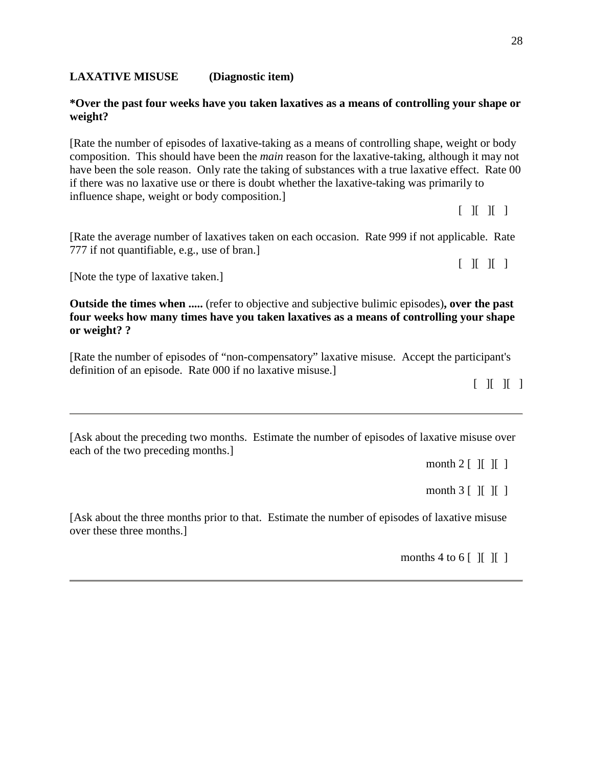#### **LAXATIVE MISUSE (Diagnostic item)**

#### **\*Over the past four weeks have you taken laxatives as a means of controlling your shape or weight?**

[Rate the number of episodes of laxative-taking as a means of controlling shape, weight or body composition. This should have been the *main* reason for the laxative-taking, although it may not have been the sole reason. Only rate the taking of substances with a true laxative effect. Rate 00 if there was no laxative use or there is doubt whether the laxative-taking was primarily to influence shape, weight or body composition.]

[Rate the average number of laxatives taken on each occasion. Rate 999 if not applicable. Rate 777 if not quantifiable, e.g., use of bran.]

[Note the type of laxative taken.]

**Outside the times when .....** (refer to objective and subjective bulimic episodes)**, over the past four weeks how many times have you taken laxatives as a means of controlling your shape or weight? ?** 

[Rate the number of episodes of "non-compensatory" laxative misuse. Accept the participant's definition of an episode. Rate 000 if no laxative misuse.]

 $[$   $]$  $[$   $]$  $[$   $]$ 

[Ask about the preceding two months. Estimate the number of episodes of laxative misuse over each of the two preceding months.]

month  $2$  [ ][ ][ ]

month  $3$   $\mid$   $\mid$   $\mid$   $\mid$   $\mid$ 

[Ask about the three months prior to that. Estimate the number of episodes of laxative misuse over these three months.]

months 4 to 6  $\lceil$  1  $\lceil$  1  $\lceil$ 

 $[ \quad ] [ \quad ] [ \quad ]$ 

 $[$   $]$  $[$   $]$  $[$  $]$  $[$  $]$  $[$  $]$  $[$  $]$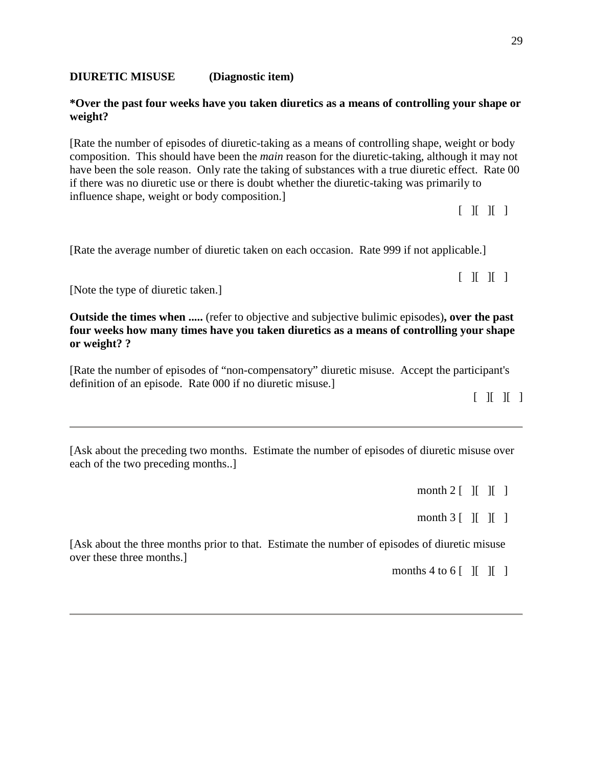#### **DIURETIC MISUSE (Diagnostic item)**

#### **\*Over the past four weeks have you taken diuretics as a means of controlling your shape or weight?**

[Rate the number of episodes of diuretic-taking as a means of controlling shape, weight or body composition. This should have been the *main* reason for the diuretic-taking, although it may not have been the sole reason. Only rate the taking of substances with a true diuretic effect. Rate 00 if there was no diuretic use or there is doubt whether the diuretic-taking was primarily to influence shape, weight or body composition.]

 $[ \quad ] [ \quad ] [ \quad ]$ 

[Rate the average number of diuretic taken on each occasion. Rate 999 if not applicable.]

 $[ \quad ] [ \quad ] [ \quad ]$ 

[Note the type of diuretic taken.]

**Outside the times when .....** (refer to objective and subjective bulimic episodes)**, over the past four weeks how many times have you taken diuretics as a means of controlling your shape or weight? ?** 

[Rate the number of episodes of "non-compensatory" diuretic misuse. Accept the participant's definition of an episode. Rate 000 if no diuretic misuse.]

 $[$   $]$  $[$   $]$  $[$  $]$  $[$  $]$  $[$  $]$ 

[Ask about the preceding two months. Estimate the number of episodes of diuretic misuse over each of the two preceding months..]

month  $2$  [  $\parallel$   $\parallel$   $\parallel$ 

month  $3$  [ ][ ][ ]

[Ask about the three months prior to that. Estimate the number of episodes of diuretic misuse over these three months.]

months 4 to 6  $\begin{bmatrix} \begin{bmatrix} \end{bmatrix} & \begin{bmatrix} \end{bmatrix} & \begin{bmatrix} \end{bmatrix} \end{bmatrix}$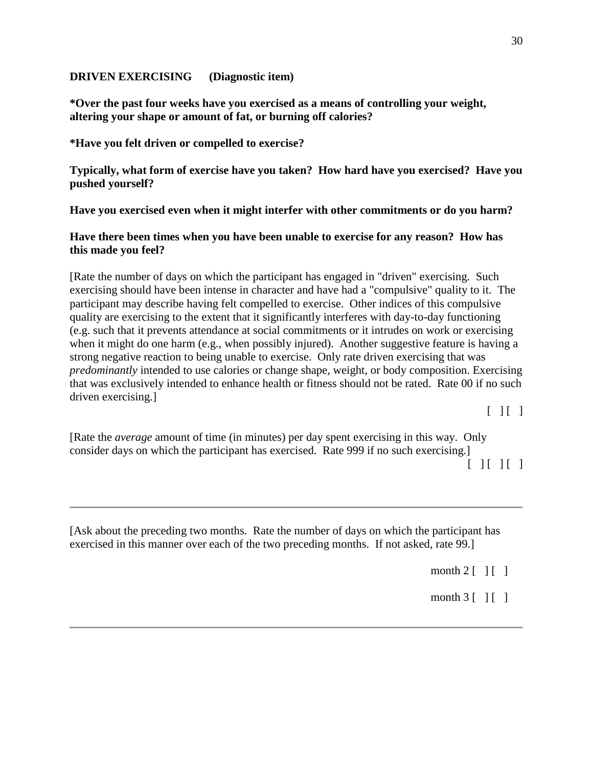#### **DRIVEN EXERCISING (Diagnostic item)**

**\*Over the past four weeks have you exercised as a means of controlling your weight, altering your shape or amount of fat, or burning off calories?**

**\*Have you felt driven or compelled to exercise?** 

**Typically, what form of exercise have you taken? How hard have you exercised? Have you pushed yourself?**

**Have you exercised even when it might interfer with other commitments or do you harm?**

#### **Have there been times when you have been unable to exercise for any reason? How has this made you feel?**

[Rate the number of days on which the participant has engaged in "driven" exercising. Such exercising should have been intense in character and have had a "compulsive" quality to it. The participant may describe having felt compelled to exercise. Other indices of this compulsive quality are exercising to the extent that it significantly interferes with day-to-day functioning (e.g. such that it prevents attendance at social commitments or it intrudes on work or exercising when it might do one harm (e.g., when possibly injured). Another suggestive feature is having a strong negative reaction to being unable to exercise. Only rate driven exercising that was *predominantly* intended to use calories or change shape, weight, or body composition. Exercising that was exclusively intended to enhance health or fitness should not be rated. Rate 00 if no such driven exercising.]

 $[ ] [ ]$ 

[Rate the *average* amount of time (in minutes) per day spent exercising in this way. Only consider days on which the participant has exercised. Rate 999 if no such exercising.]

 $[ ] [ ] [ ] [ ]$ 

[Ask about the preceding two months. Rate the number of days on which the participant has exercised in this manner over each of the two preceding months. If not asked, rate 99.]

month  $2$  [ ] [ ]

month  $3$  [ ] [ ]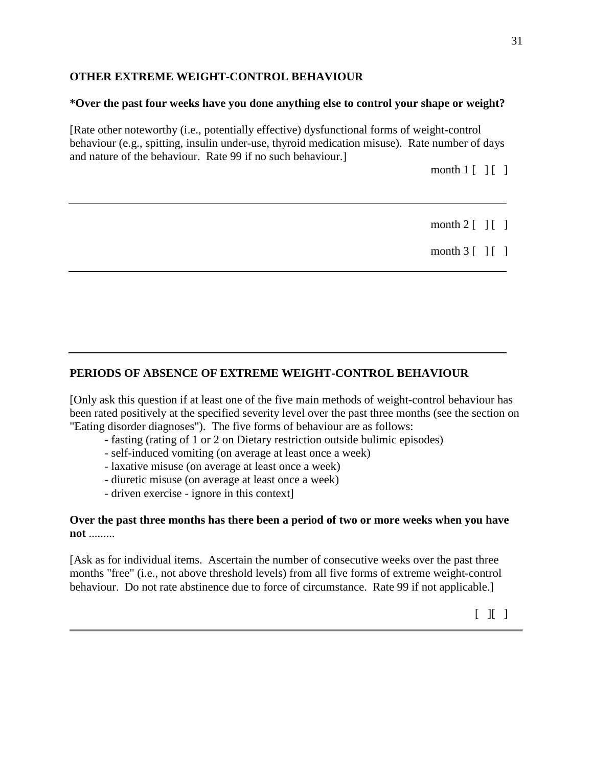# **OTHER EXTREME WEIGHT-CONTROL BEHAVIOUR**

# **\*Over the past four weeks have you done anything else to control your shape or weight?**

[Rate other noteworthy (i.e., potentially effective) dysfunctional forms of weight-control behaviour (e.g., spitting, insulin under-use, thyroid medication misuse). Rate number of days and nature of the behaviour. Rate 99 if no such behaviour.]

month  $1 \mid \cdot \mid \cdot \mid$ 

- month  $2 \lceil \rceil$   $\lceil \rceil$
- month  $3$  [ ] [ ]

# **PERIODS OF ABSENCE OF EXTREME WEIGHT-CONTROL BEHAVIOUR**

[Only ask this question if at least one of the five main methods of weight-control behaviour has been rated positively at the specified severity level over the past three months (see the section on "Eating disorder diagnoses"). The five forms of behaviour are as follows:

- fasting (rating of 1 or 2 on Dietary restriction outside bulimic episodes)
- self-induced vomiting (on average at least once a week)
- laxative misuse (on average at least once a week)
- diuretic misuse (on average at least once a week)
- driven exercise ignore in this context]

# **Over the past three months has there been a period of two or more weeks when you have not** .........

[Ask as for individual items. Ascertain the number of consecutive weeks over the past three months "free" (i.e., not above threshold levels) from all five forms of extreme weight-control behaviour. Do not rate abstinence due to force of circumstance. Rate 99 if not applicable.]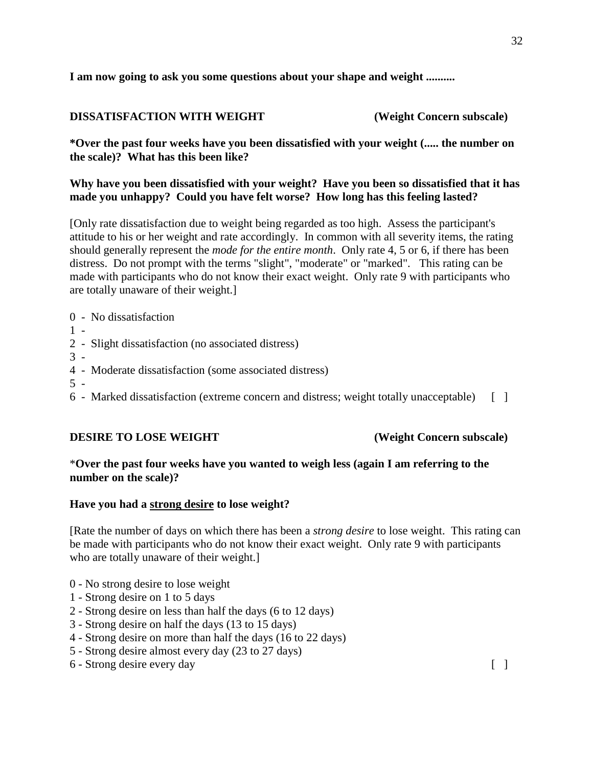# **I am now going to ask you some questions about your shape and weight ..........**

## **DISSATISFACTION WITH WEIGHT (Weight Concern subscale)**

**\*Over the past four weeks have you been dissatisfied with your weight (..... the number on the scale)? What has this been like?**

# **Why have you been dissatisfied with your weight? Have you been so dissatisfied that it has made you unhappy? Could you have felt worse? How long has this feeling lasted?**

[Only rate dissatisfaction due to weight being regarded as too high. Assess the participant's attitude to his or her weight and rate accordingly. In common with all severity items, the rating should generally represent the *mode for the entire month*. Only rate 4, 5 or 6, if there has been distress. Do not prompt with the terms "slight", "moderate" or "marked". This rating can be made with participants who do not know their exact weight. Only rate 9 with participants who are totally unaware of their weight.]

- 0 No dissatisfaction
- $1 -$
- 2 Slight dissatisfaction (no associated distress)
- 3 -
- 4 Moderate dissatisfaction (some associated distress)
- 5 -
- 6 Marked dissatisfaction (extreme concern and distress; weight totally unacceptable) [ ]

#### **DESIRE TO LOSE WEIGHT (Weight Concern subscale)**

#### \***Over the past four weeks have you wanted to weigh less (again I am referring to the number on the scale)?**

#### **Have you had a strong desire to lose weight?**

[Rate the number of days on which there has been a *strong desire* to lose weight. This rating can be made with participants who do not know their exact weight. Only rate 9 with participants who are totally unaware of their weight.]

- 0 No strong desire to lose weight
- 1 Strong desire on 1 to 5 days
- 2 Strong desire on less than half the days (6 to 12 days)
- 3 Strong desire on half the days (13 to 15 days)
- 4 Strong desire on more than half the days (16 to 22 days)
- 5 Strong desire almost every day (23 to 27 days)
- 6 Strong desire every day [ ]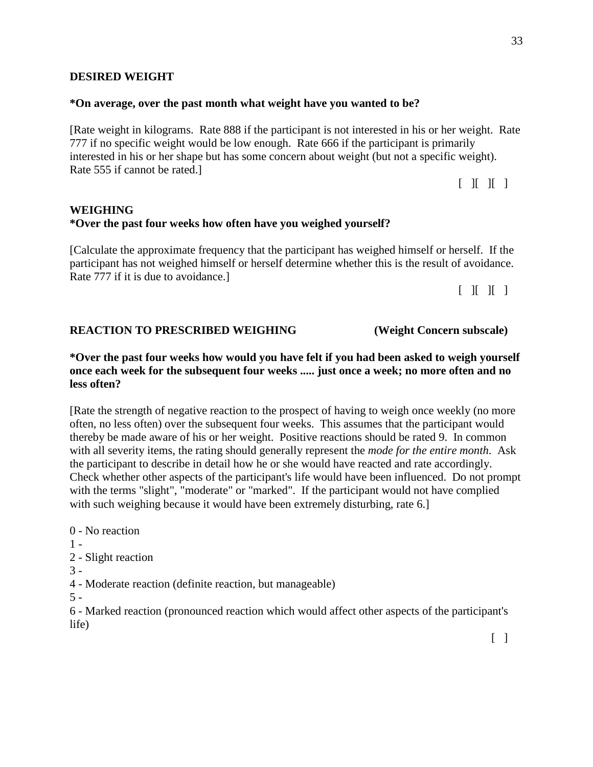## **DESIRED WEIGHT**

#### **\*On average, over the past month what weight have you wanted to be?**

[Rate weight in kilograms. Rate 888 if the participant is not interested in his or her weight. Rate 777 if no specific weight would be low enough. Rate 666 if the participant is primarily interested in his or her shape but has some concern about weight (but not a specific weight). Rate 555 if cannot be rated.]

 $[$   $]$  $[$   $]$  $[$  $]$  $[$  $]$  $[$  $]$ 

#### **WEIGHING \*Over the past four weeks how often have you weighed yourself?**

[Calculate the approximate frequency that the participant has weighed himself or herself. If the participant has not weighed himself or herself determine whether this is the result of avoidance. Rate 777 if it is due to avoidance.]

 $[$   $]$  $[$   $]$  $[$  $]$  $[$  $]$  $[$  $]$  $[$  $]$  $[$  $]$  $[$  $]$  $[$  $]$  $[$  $]$  $[$  $]$  $[$  $]$  $[$  $]$  $[$  $]$  $[$  $]$  $[$  $]$  $[$  $]$  $[$  $]$  $[$  $]$  $[$  $]$  $[$  $]$  $[$  $]$  $[$  $]$  $[$  $]$  $[$  $]$  $[$  $]$  $[$  $]$  $[$  $]$  $[$  $]$  $[$  $]$  $[$  $]$  $[$  $]$  $[$  $]$  $[$  $]$  $[$  $]$  $[$  $]$  $[$ 

#### **REACTION TO PRESCRIBED WEIGHING (Weight Concern subscale)**

# **\*Over the past four weeks how would you have felt if you had been asked to weigh yourself once each week for the subsequent four weeks ..... just once a week; no more often and no less often?**

[Rate the strength of negative reaction to the prospect of having to weigh once weekly (no more often, no less often) over the subsequent four weeks. This assumes that the participant would thereby be made aware of his or her weight. Positive reactions should be rated 9. In common with all severity items, the rating should generally represent the *mode for the entire month*. Ask the participant to describe in detail how he or she would have reacted and rate accordingly. Check whether other aspects of the participant's life would have been influenced. Do not prompt with the terms "slight", "moderate" or "marked". If the participant would not have complied with such weighing because it would have been extremely disturbing, rate 6.]

0 - No reaction  $1 -$ 2 - Slight reaction 3 - 4 - Moderate reaction (definite reaction, but manageable)  $5 -$ 6 - Marked reaction (pronounced reaction which would affect other aspects of the participant's life)

 $\lceil \rceil$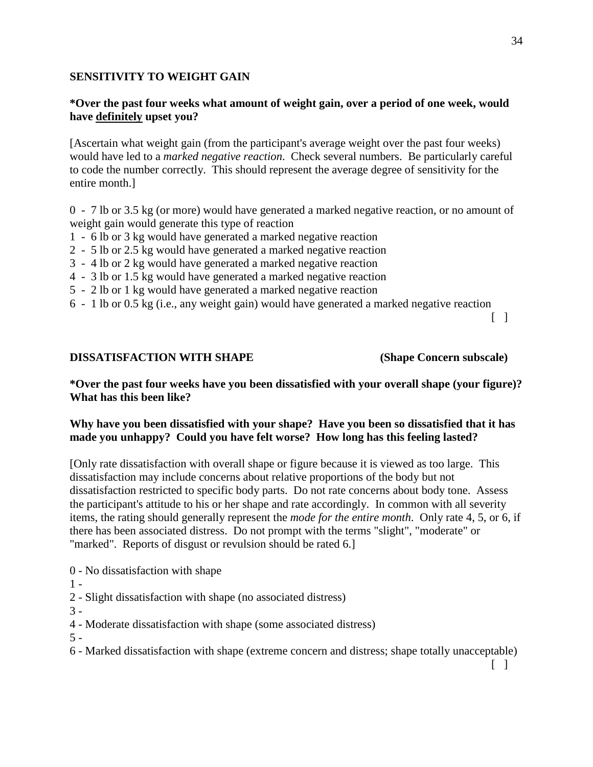# **SENSITIVITY TO WEIGHT GAIN**

# **\*Over the past four weeks what amount of weight gain, over a period of one week, would have definitely upset you?**

[Ascertain what weight gain (from the participant's average weight over the past four weeks) would have led to a *marked negative reaction*. Check several numbers. Be particularly careful to code the number correctly. This should represent the average degree of sensitivity for the entire month.]

0 - 7 lb or 3.5 kg (or more) would have generated a marked negative reaction, or no amount of weight gain would generate this type of reaction

- 1 6 lb or 3 kg would have generated a marked negative reaction
- 2 5 lb or 2.5 kg would have generated a marked negative reaction
- 3 4 lb or 2 kg would have generated a marked negative reaction
- 4 3 lb or 1.5 kg would have generated a marked negative reaction
- 5 2 lb or 1 kg would have generated a marked negative reaction
- 6 1 lb or 0.5 kg (i.e., any weight gain) would have generated a marked negative reaction

 $\lceil$   $\rceil$ 

#### **DISSATISFACTION WITH SHAPE (Shape Concern subscale)**

**\*Over the past four weeks have you been dissatisfied with your overall shape (your figure)? What has this been like?**

## **Why have you been dissatisfied with your shape? Have you been so dissatisfied that it has made you unhappy? Could you have felt worse? How long has this feeling lasted?**

[Only rate dissatisfaction with overall shape or figure because it is viewed as too large. This dissatisfaction may include concerns about relative proportions of the body but not dissatisfaction restricted to specific body parts. Do not rate concerns about body tone. Assess the participant's attitude to his or her shape and rate accordingly. In common with all severity items, the rating should generally represent the *mode for the entire month*. Only rate 4, 5, or 6, if there has been associated distress. Do not prompt with the terms "slight", "moderate" or "marked". Reports of disgust or revulsion should be rated 6.]

0 - No dissatisfaction with shape

 $1 -$ 

2 - Slight dissatisfaction with shape (no associated distress)

3 -

4 - Moderate dissatisfaction with shape (some associated distress)

- 5 -
- 6 Marked dissatisfaction with shape (extreme concern and distress; shape totally unacceptable)

 $\lceil \rceil$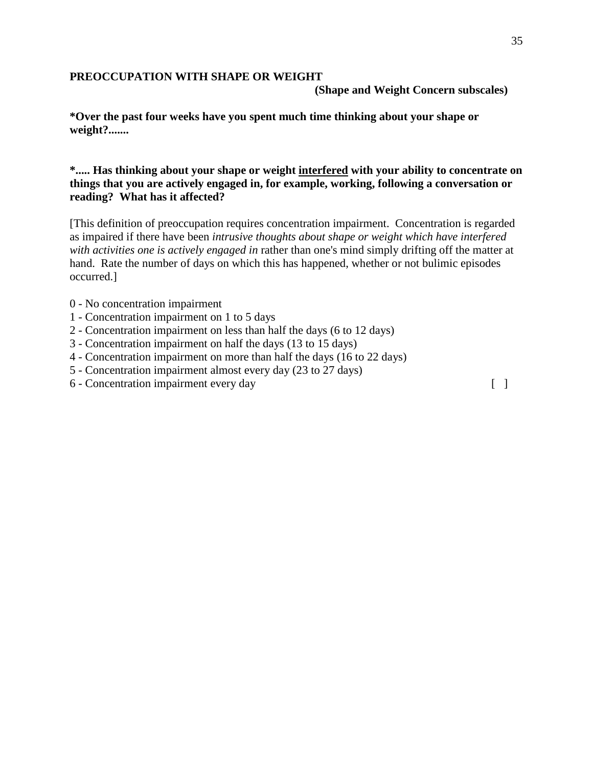#### **PREOCCUPATION WITH SHAPE OR WEIGHT**

**(Shape and Weight Concern subscales)**

**\*Over the past four weeks have you spent much time thinking about your shape or weight?.......**

# **\*..... Has thinking about your shape or weight interfered with your ability to concentrate on things that you are actively engaged in, for example, working, following a conversation or reading? What has it affected?**

[This definition of preoccupation requires concentration impairment. Concentration is regarded as impaired if there have been *intrusive thoughts about shape or weight which have interfered with activities one is actively engaged in* rather than one's mind simply drifting off the matter at hand. Rate the number of days on which this has happened, whether or not bulimic episodes occurred.]

- 0 No concentration impairment
- 1 Concentration impairment on 1 to 5 days
- 2 Concentration impairment on less than half the days (6 to 12 days)
- 3 Concentration impairment on half the days (13 to 15 days)
- 4 Concentration impairment on more than half the days (16 to 22 days)
- 5 Concentration impairment almost every day (23 to 27 days)
- 6 Concentration impairment every day [ ]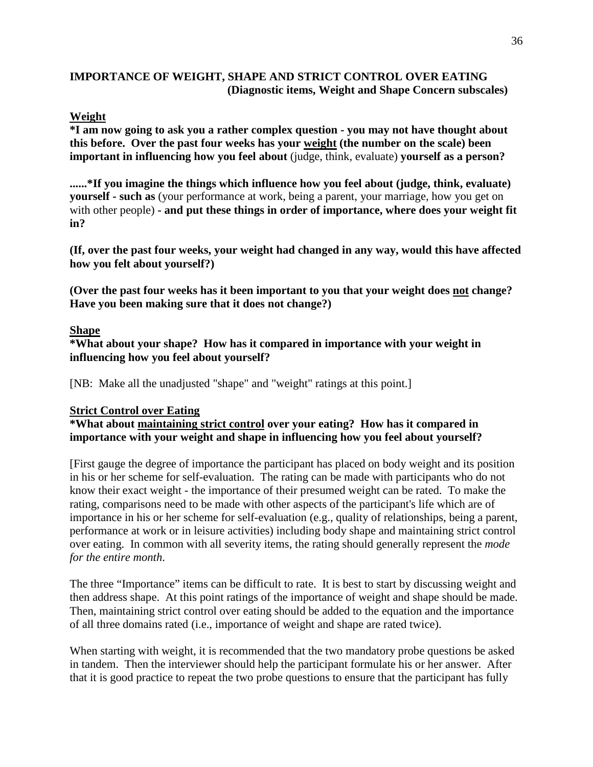## **IMPORTANCE OF WEIGHT, SHAPE AND STRICT CONTROL OVER EATING (Diagnostic items, Weight and Shape Concern subscales)**

# **Weight**

**\*I am now going to ask you a rather complex question - you may not have thought about this before. Over the past four weeks has your weight (the number on the scale) been important in influencing how you feel about** (judge, think, evaluate) **yourself as a person?** 

**......\*If you imagine the things which influence how you feel about (judge, think, evaluate) yourself - such as** (your performance at work, being a parent, your marriage, how you get on with other people) **- and put these things in order of importance, where does your weight fit in?**

**(If, over the past four weeks, your weight had changed in any way, would this have affected how you felt about yourself?)**

**(Over the past four weeks has it been important to you that your weight does not change? Have you been making sure that it does not change?)**

#### **Shape**

**\*What about your shape? How has it compared in importance with your weight in influencing how you feel about yourself?**

[NB: Make all the unadjusted "shape" and "weight" ratings at this point.]

#### **Strict Control over Eating**

**\*What about maintaining strict control over your eating? How has it compared in importance with your weight and shape in influencing how you feel about yourself?**

[First gauge the degree of importance the participant has placed on body weight and its position in his or her scheme for self-evaluation. The rating can be made with participants who do not know their exact weight - the importance of their presumed weight can be rated. To make the rating, comparisons need to be made with other aspects of the participant's life which are of importance in his or her scheme for self-evaluation (e.g., quality of relationships, being a parent, performance at work or in leisure activities) including body shape and maintaining strict control over eating. In common with all severity items, the rating should generally represent the *mode for the entire month*.

The three "Importance" items can be difficult to rate. It is best to start by discussing weight and then address shape. At this point ratings of the importance of weight and shape should be made. Then, maintaining strict control over eating should be added to the equation and the importance of all three domains rated (i.e., importance of weight and shape are rated twice).

When starting with weight, it is recommended that the two mandatory probe questions be asked in tandem. Then the interviewer should help the participant formulate his or her answer. After that it is good practice to repeat the two probe questions to ensure that the participant has fully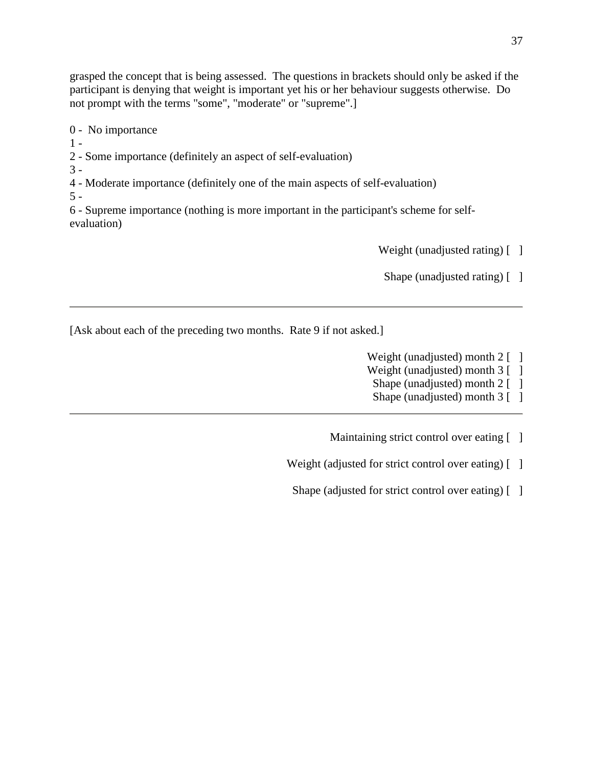grasped the concept that is being assessed. The questions in brackets should only be asked if the participant is denying that weight is important yet his or her behaviour suggests otherwise. Do not prompt with the terms "some", "moderate" or "supreme".]

- 0 No importance
- $1 -$
- 2 Some importance (definitely an aspect of self-evaluation)

3 -

4 - Moderate importance (definitely one of the main aspects of self-evaluation)

5 -

6 - Supreme importance (nothing is more important in the participant's scheme for selfevaluation)

- Weight (unadjusted rating) [ ]
- Shape (unadjusted rating) [ ]

[Ask about each of the preceding two months. Rate 9 if not asked.]

- Weight (unadjusted) month  $2 \lceil \rceil$
- Weight (unadjusted) month 3 [ ]
- Shape (unadjusted) month  $2 \lceil \rceil$
- Shape (unadjusted) month 3 [ ]
- Maintaining strict control over eating [ ]
- Weight (adjusted for strict control over eating) [ ]
- Shape (adjusted for strict control over eating)  $\lceil \quad \rceil$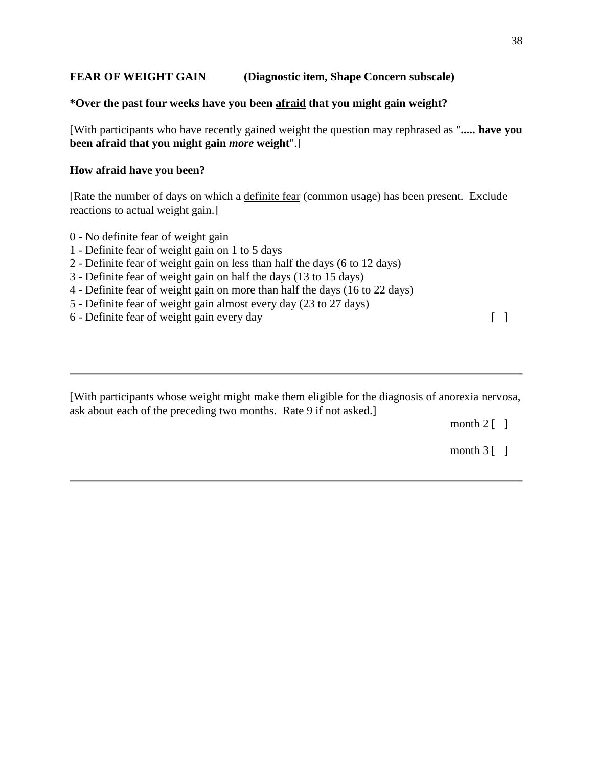# **FEAR OF WEIGHT GAIN (Diagnostic item, Shape Concern subscale)**

# **\*Over the past four weeks have you been afraid that you might gain weight?**

[With participants who have recently gained weight the question may rephrased as "**..... have you been afraid that you might gain** *more* **weight**".]

## **How afraid have you been?**

[Rate the number of days on which a definite fear (common usage) has been present. Exclude reactions to actual weight gain.]

- 0 No definite fear of weight gain
- 1 Definite fear of weight gain on 1 to 5 days
- 2 Definite fear of weight gain on less than half the days (6 to 12 days)
- 3 Definite fear of weight gain on half the days (13 to 15 days)
- 4 Definite fear of weight gain on more than half the days (16 to 22 days)
- 5 Definite fear of weight gain almost every day (23 to 27 days)
- 6 Definite fear of weight gain every day [ ]

[With participants whose weight might make them eligible for the diagnosis of anorexia nervosa, ask about each of the preceding two months. Rate 9 if not asked.]

month  $2 \lceil \rceil$ 

month  $3 \lceil \rceil$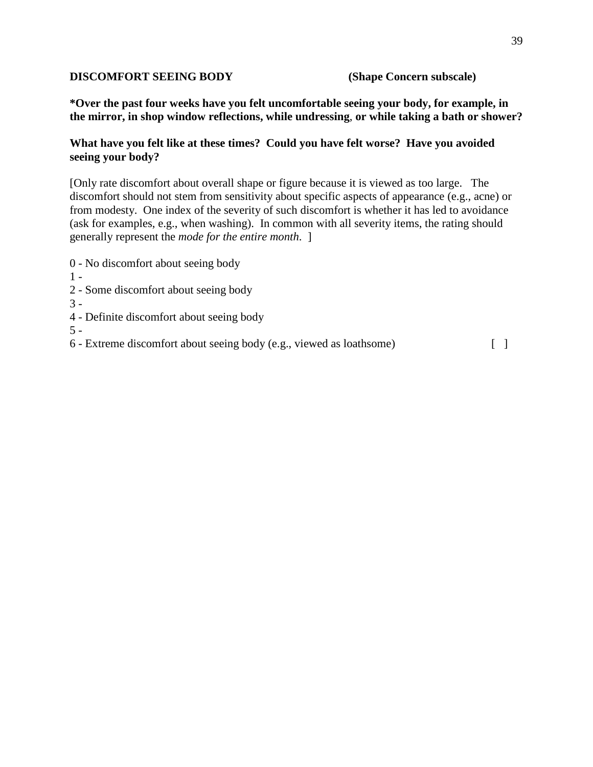#### **DISCOMFORT SEEING BODY (Shape Concern subscale)**

**\*Over the past four weeks have you felt uncomfortable seeing your body, for example, in the mirror, in shop window reflections, while undressing**, **or while taking a bath or shower?**

#### **What have you felt like at these times? Could you have felt worse? Have you avoided seeing your body?**

[Only rate discomfort about overall shape or figure because it is viewed as too large. The discomfort should not stem from sensitivity about specific aspects of appearance (e.g., acne) or from modesty. One index of the severity of such discomfort is whether it has led to avoidance (ask for examples, e.g., when washing). In common with all severity items, the rating should generally represent the *mode for the entire month*. ]

- 0 No discomfort about seeing body
- $1 -$
- 2 Some discomfort about seeing body
- 3 -
- 4 Definite discomfort about seeing body
- $5 -$
- 6 Extreme discomfort about seeing body (e.g., viewed as loathsome) [ ]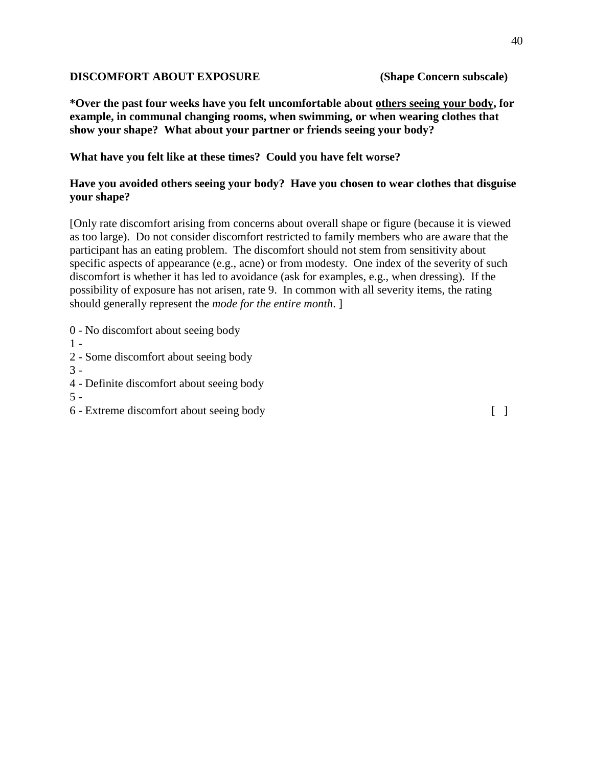## **DISCOMFORT ABOUT EXPOSURE (Shape Concern subscale)**

**\*Over the past four weeks have you felt uncomfortable about others seeing your body, for example, in communal changing rooms, when swimming, or when wearing clothes that show your shape? What about your partner or friends seeing your body?** 

# **What have you felt like at these times? Could you have felt worse?**

# **Have you avoided others seeing your body? Have you chosen to wear clothes that disguise your shape?**

[Only rate discomfort arising from concerns about overall shape or figure (because it is viewed as too large). Do not consider discomfort restricted to family members who are aware that the participant has an eating problem. The discomfort should not stem from sensitivity about specific aspects of appearance (e.g., acne) or from modesty. One index of the severity of such discomfort is whether it has led to avoidance (ask for examples, e.g., when dressing). If the possibility of exposure has not arisen, rate 9. In common with all severity items, the rating should generally represent the *mode for the entire month*. ]

- 0 No discomfort about seeing body
- $1 -$
- 2 Some discomfort about seeing body
- 3 -
- 4 Definite discomfort about seeing body
- 5 -
- 6 Extreme discomfort about seeing body [ ]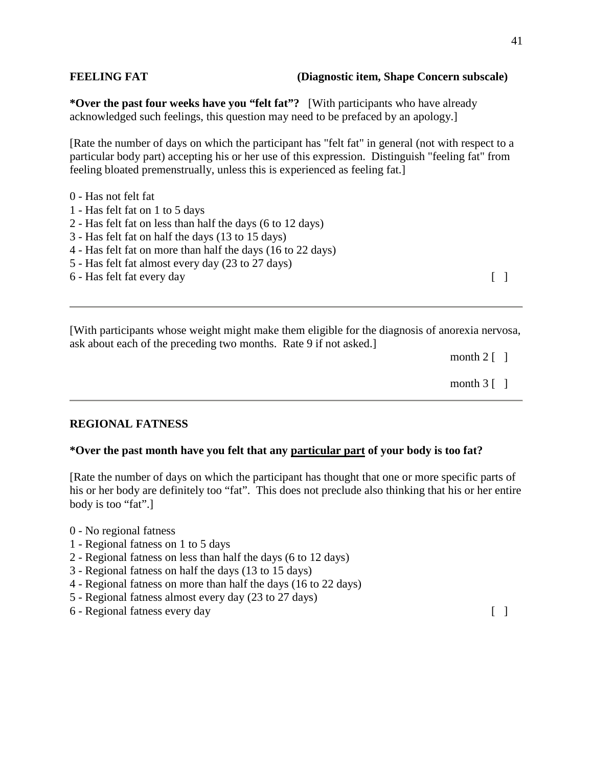#### **FEELING FAT (Diagnostic item, Shape Concern subscale)**

**\*Over the past four weeks have you "felt fat"?** [With participants who have already acknowledged such feelings, this question may need to be prefaced by an apology.]

[Rate the number of days on which the participant has "felt fat" in general (not with respect to a particular body part) accepting his or her use of this expression. Distinguish "feeling fat" from feeling bloated premenstrually, unless this is experienced as feeling fat.]

- 0 Has not felt fat
- 1 Has felt fat on 1 to 5 days
- 2 Has felt fat on less than half the days (6 to 12 days)
- 3 Has felt fat on half the days (13 to 15 days)
- 4 Has felt fat on more than half the days (16 to 22 days)
- 5 Has felt fat almost every day (23 to 27 days)
- 6 Has felt fat every day [ ]

[With participants whose weight might make them eligible for the diagnosis of anorexia nervosa, ask about each of the preceding two months. Rate 9 if not asked.]

month  $2 \lceil \rceil$ 

month  $3 \lceil \rceil$ 

#### **REGIONAL FATNESS**

#### **\*Over the past month have you felt that any particular part of your body is too fat?**

[Rate the number of days on which the participant has thought that one or more specific parts of his or her body are definitely too "fat". This does not preclude also thinking that his or her entire body is too "fat".]

- 0 No regional fatness
- 1 Regional fatness on 1 to 5 days
- 2 Regional fatness on less than half the days (6 to 12 days)
- 3 Regional fatness on half the days (13 to 15 days)
- 4 Regional fatness on more than half the days (16 to 22 days)
- 5 Regional fatness almost every day (23 to 27 days)
- 6 Regional fatness every day [ ]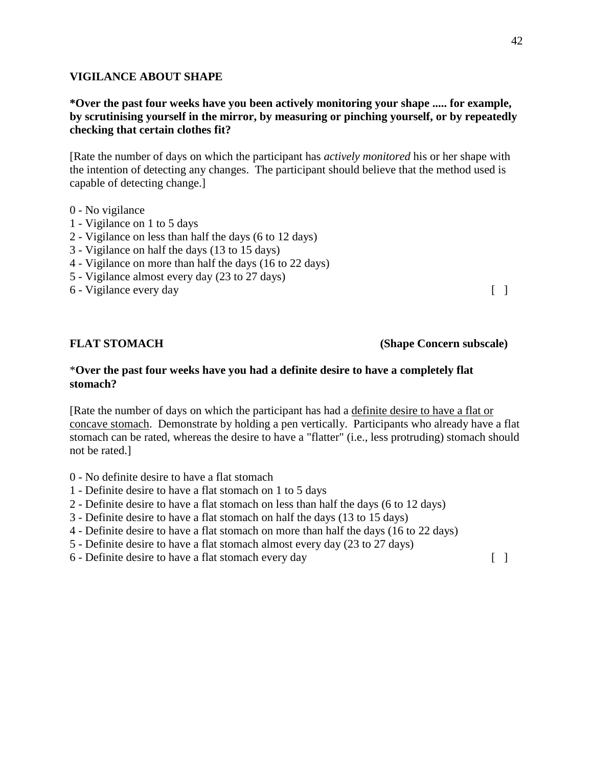#### **VIGILANCE ABOUT SHAPE**

# **\*Over the past four weeks have you been actively monitoring your shape ..... for example, by scrutinising yourself in the mirror, by measuring or pinching yourself, or by repeatedly checking that certain clothes fit?**

[Rate the number of days on which the participant has *actively monitored* his or her shape with the intention of detecting any changes. The participant should believe that the method used is capable of detecting change.]

- 0 No vigilance
- 1 Vigilance on 1 to 5 days
- 2 Vigilance on less than half the days (6 to 12 days)
- 3 Vigilance on half the days (13 to 15 days)
- 4 Vigilance on more than half the days (16 to 22 days)
- 5 Vigilance almost every day (23 to 27 days)
- 6 Vigilance every day [ ]

#### **FLAT STOMACH (Shape Concern subscale)**

#### \***Over the past four weeks have you had a definite desire to have a completely flat stomach?**

[Rate the number of days on which the participant has had a definite desire to have a flat or concave stomach. Demonstrate by holding a pen vertically. Participants who already have a flat stomach can be rated, whereas the desire to have a "flatter" (i.e., less protruding) stomach should not be rated.]

- 0 No definite desire to have a flat stomach
- 1 Definite desire to have a flat stomach on 1 to 5 days
- 2 Definite desire to have a flat stomach on less than half the days (6 to 12 days)
- 3 Definite desire to have a flat stomach on half the days (13 to 15 days)
- 4 Definite desire to have a flat stomach on more than half the days (16 to 22 days)
- 5 Definite desire to have a flat stomach almost every day (23 to 27 days)
- 6 Definite desire to have a flat stomach every day [ ]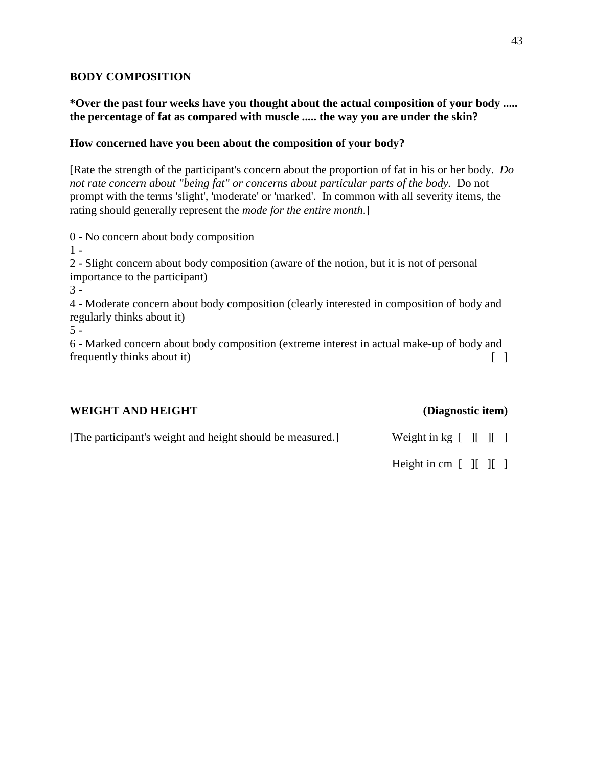#### **BODY COMPOSITION**

### **\*Over the past four weeks have you thought about the actual composition of your body ..... the percentage of fat as compared with muscle ..... the way you are under the skin?**

#### **How concerned have you been about the composition of your body?**

[Rate the strength of the participant's concern about the proportion of fat in his or her body. *Do not rate concern about "being fat" or concerns about particular parts of the body.* Do not prompt with the terms 'slight', 'moderate' or 'marked'. In common with all severity items, the rating should generally represent the *mode for the entire month*.]

0 - No concern about body composition

 $1 -$ 

2 - Slight concern about body composition (aware of the notion, but it is not of personal importance to the participant)

3 -

4 - Moderate concern about body composition (clearly interested in composition of body and regularly thinks about it)

5 -

6 - Marked concern about body composition (extreme interest in actual make-up of body and frequently thinks about it) [ ]

#### **WEIGHT AND HEIGHT (Diagnostic item)**

[The participant's weight and height should be measured.] Weight in kg [ ][ ][ ]

Height in cm  $[$   $]$  $[$   $]$  $[$   $]$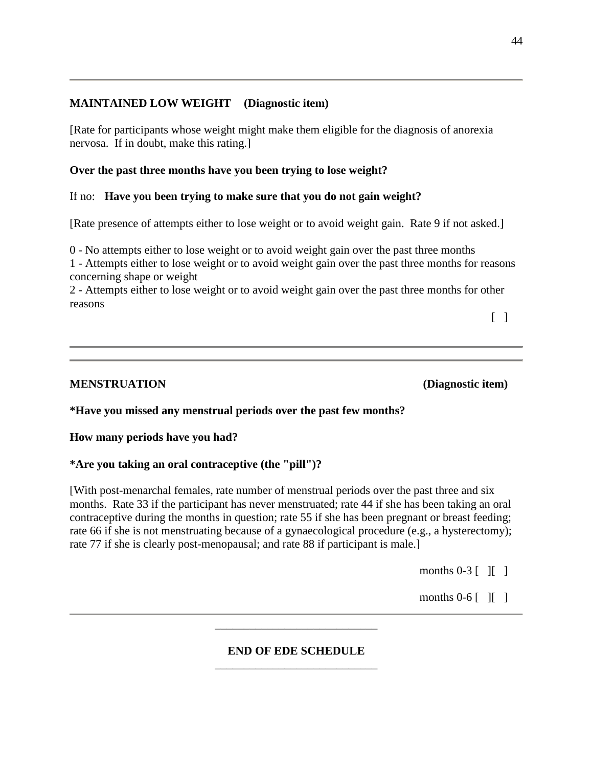# **MAINTAINED LOW WEIGHT (Diagnostic item)**

[Rate for participants whose weight might make them eligible for the diagnosis of anorexia nervosa. If in doubt, make this rating.]

## **Over the past three months have you been trying to lose weight?**

## If no: **Have you been trying to make sure that you do not gain weight?**

[Rate presence of attempts either to lose weight or to avoid weight gain. Rate 9 if not asked.]

0 - No attempts either to lose weight or to avoid weight gain over the past three months

1 - Attempts either to lose weight or to avoid weight gain over the past three months for reasons concerning shape or weight

2 - Attempts either to lose weight or to avoid weight gain over the past three months for other reasons

 $\lceil \rceil$ 

# **MENSTRUATION** (Diagnostic item)

**\*Have you missed any menstrual periods over the past few months?** 

#### **How many periods have you had?**

# **\*Are you taking an oral contraceptive (the "pill")?**

[With post-menarchal females, rate number of menstrual periods over the past three and six months. Rate 33 if the participant has never menstruated; rate 44 if she has been taking an oral contraceptive during the months in question; rate 55 if she has been pregnant or breast feeding; rate 66 if she is not menstruating because of a gynaecological procedure (e.g., a hysterectomy); rate 77 if she is clearly post-menopausal; and rate 88 if participant is male.]

months  $0-3$  [ ][ ]

months  $0-6$  [ ][ ]

# **END OF EDE SCHEDULE** \_\_\_\_\_\_\_\_\_\_\_\_\_\_\_\_\_\_\_\_\_\_\_\_\_\_\_\_

\_\_\_\_\_\_\_\_\_\_\_\_\_\_\_\_\_\_\_\_\_\_\_\_\_\_\_\_

44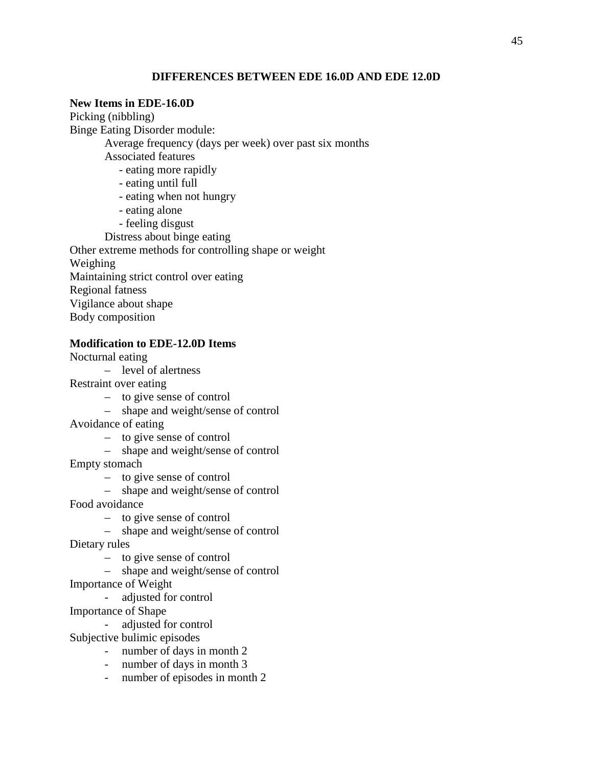#### **DIFFERENCES BETWEEN EDE 16.0D AND EDE 12.0D**

#### **New Items in EDE-16.0D**

Picking (nibbling) Binge Eating Disorder module: Average frequency (days per week) over past six months Associated features - eating more rapidly - eating until full - eating when not hungry - eating alone - feeling disgust Distress about binge eating Other extreme methods for controlling shape or weight Weighing Maintaining strict control over eating Regional fatness Vigilance about shape Body composition **Modification to EDE-12.0D Items**

Nocturnal eating

– level of alertness

Restraint over eating

- to give sense of control
- shape and weight/sense of control
- Avoidance of eating
	- to give sense of control
	- shape and weight/sense of control
- Empty stomach
	- to give sense of control
	- shape and weight/sense of control

Food avoidance

- to give sense of control
- shape and weight/sense of control

Dietary rules

- to give sense of control
- shape and weight/sense of control
- Importance of Weight
	- adjusted for control
- Importance of Shape
	- adjusted for control
- Subjective bulimic episodes
	- number of days in month 2
	- number of days in month 3
	- number of episodes in month 2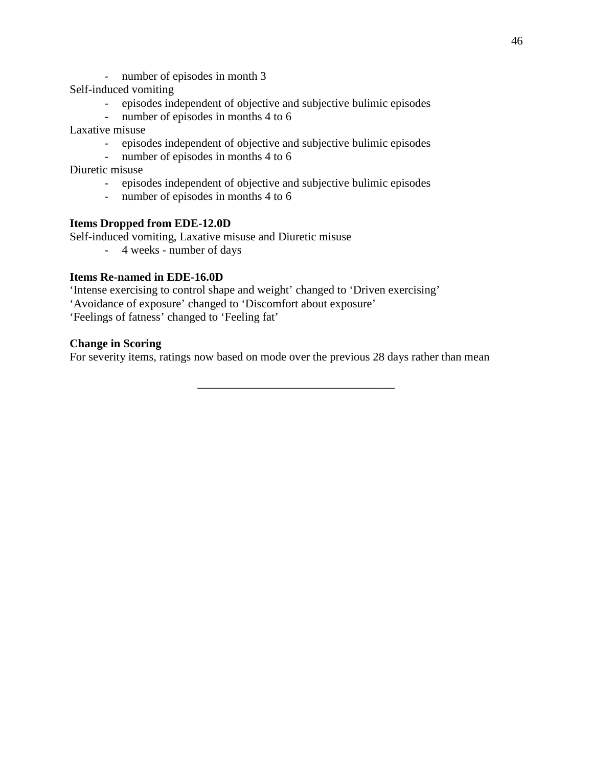- number of episodes in month 3
- Self-induced vomiting
	- episodes independent of objective and subjective bulimic episodes
	- number of episodes in months 4 to 6

Laxative misuse

- episodes independent of objective and subjective bulimic episodes
- number of episodes in months 4 to 6

Diuretic misuse

- episodes independent of objective and subjective bulimic episodes
- number of episodes in months 4 to 6

#### **Items Dropped from EDE-12.0D**

Self-induced vomiting, Laxative misuse and Diuretic misuse

- 4 weeks - number of days

#### **Items Re-named in EDE-16.0D**

'Intense exercising to control shape and weight' changed to 'Driven exercising' 'Avoidance of exposure' changed to 'Discomfort about exposure'

'Feelings of fatness' changed to 'Feeling fat'

#### **Change in Scoring**

For severity items, ratings now based on mode over the previous 28 days rather than mean

\_\_\_\_\_\_\_\_\_\_\_\_\_\_\_\_\_\_\_\_\_\_\_\_\_\_\_\_\_\_\_\_\_\_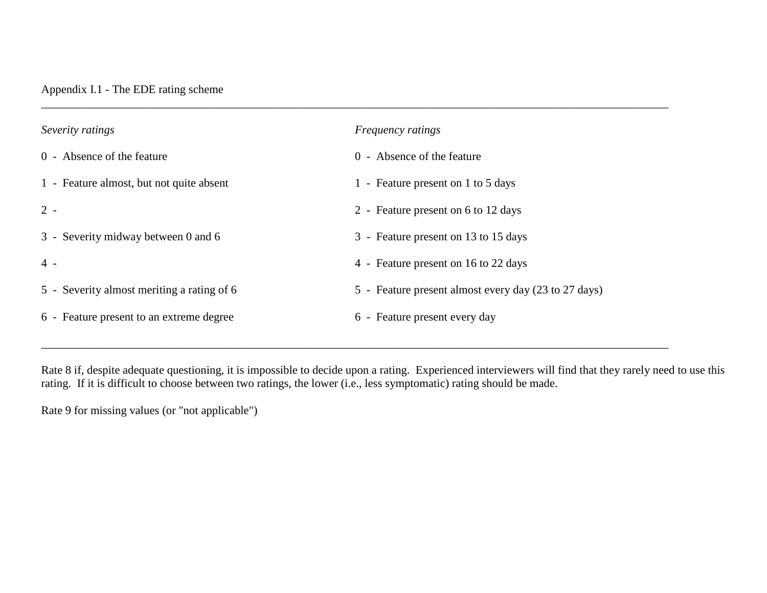| Severity ratings                           | Frequency ratings                                    |
|--------------------------------------------|------------------------------------------------------|
| 0 - Absence of the feature                 | 0 - Absence of the feature                           |
| 1 - Feature almost, but not quite absent   | 1 - Feature present on 1 to 5 days                   |
| $2 -$                                      | 2 - Feature present on 6 to 12 days                  |
| 3 - Severity midway between 0 and 6        | 3 - Feature present on 13 to 15 days                 |
| $4 -$                                      | 4 - Feature present on 16 to 22 days                 |
| 5 - Severity almost meriting a rating of 6 | 5 - Feature present almost every day (23 to 27 days) |
| 6 - Feature present to an extreme degree   | 6 - Feature present every day                        |
|                                            |                                                      |

\_\_\_\_\_\_\_\_\_\_\_\_\_\_\_\_\_\_\_\_\_\_\_\_\_\_\_\_\_\_\_\_\_\_\_\_\_\_\_\_\_\_\_\_\_\_\_\_\_\_\_\_\_\_\_\_\_\_\_\_\_\_\_\_\_\_\_\_\_\_\_\_\_\_\_\_\_\_\_\_\_\_\_\_\_\_\_\_\_\_\_\_\_\_\_\_\_\_\_\_\_\_\_\_\_\_\_\_

Rate 8 if, despite adequate questioning, it is impossible to decide upon a rating. Experienced interviewers will find that they rarely need to use this rating. If it is difficult to choose between two ratings, the lower (i.e., less symptomatic) rating should be made.

Rate 9 for missing values (or "not applicable")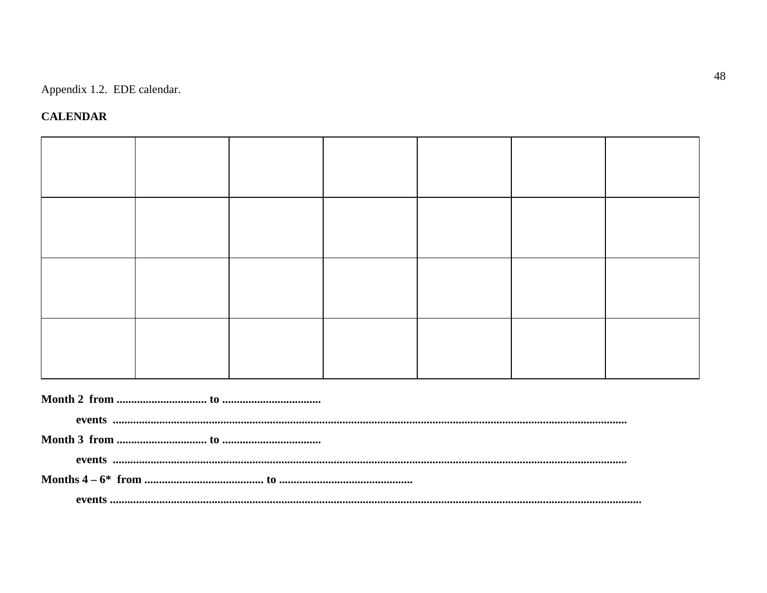Appendix 1.2. EDE calendar.

# **CALENDAR**